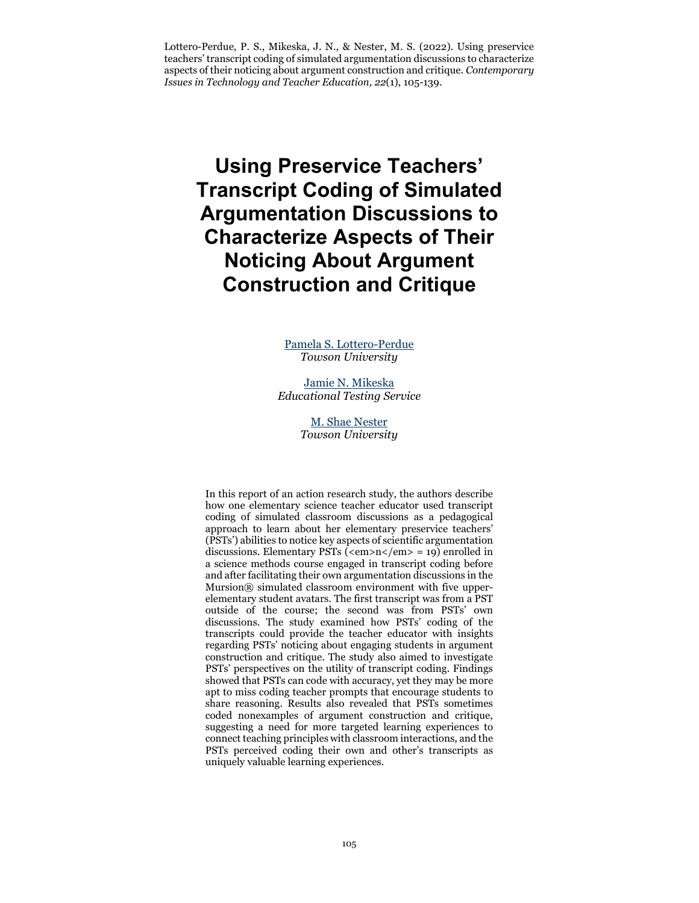Lottero-Perdue, P. S., Mikeska, J. N., & Nester, M. S. (2022). Using preservice teachers' transcript coding of simulated argumentation discussions to characterize aspects of their noticing about argument construction and critique. *Contemporary Issues in Technology and Teacher Education, 22*(1), 105-139.

**Using Preservice Teachers' Transcript Coding of Simulated Argumentation Discussions to Characterize Aspects of Their Noticing About Argument Construction and Critique**

> [Pamela S. Lottero-Perdue](mailto:plottero@towson.edu) *Towson University*

[Jamie N. Mikeska](mailto:jmikeska@ets.org) *Educational Testing Service*

> [M. Shae Nester](mailto:mneste3@students.towson.edu) *Towson University*

In this report of an action research study, the authors describe how one elementary science teacher educator used transcript coding of simulated classroom discussions as a pedagogical approach to learn about her elementary preservice teachers' (PSTs') abilities to notice key aspects of scientific argumentation discussions. Elementary PSTs (<em> $n$ </em> = 19) enrolled in a science methods course engaged in transcript coding before and after facilitating their own argumentation discussions in the Mursion® simulated classroom environment with five upperelementary student avatars. The first transcript was from a PST outside of the course; the second was from PSTs' own discussions. The study examined how PSTs' coding of the transcripts could provide the teacher educator with insights regarding PSTs' noticing about engaging students in argument construction and critique. The study also aimed to investigate PSTs' perspectives on the utility of transcript coding. Findings showed that PSTs can code with accuracy, yet they may be more apt to miss coding teacher prompts that encourage students to share reasoning. Results also revealed that PSTs sometimes coded nonexamples of argument construction and critique, suggesting a need for more targeted learning experiences to connect teaching principles with classroom interactions, and the PSTs perceived coding their own and other's transcripts as uniquely valuable learning experiences.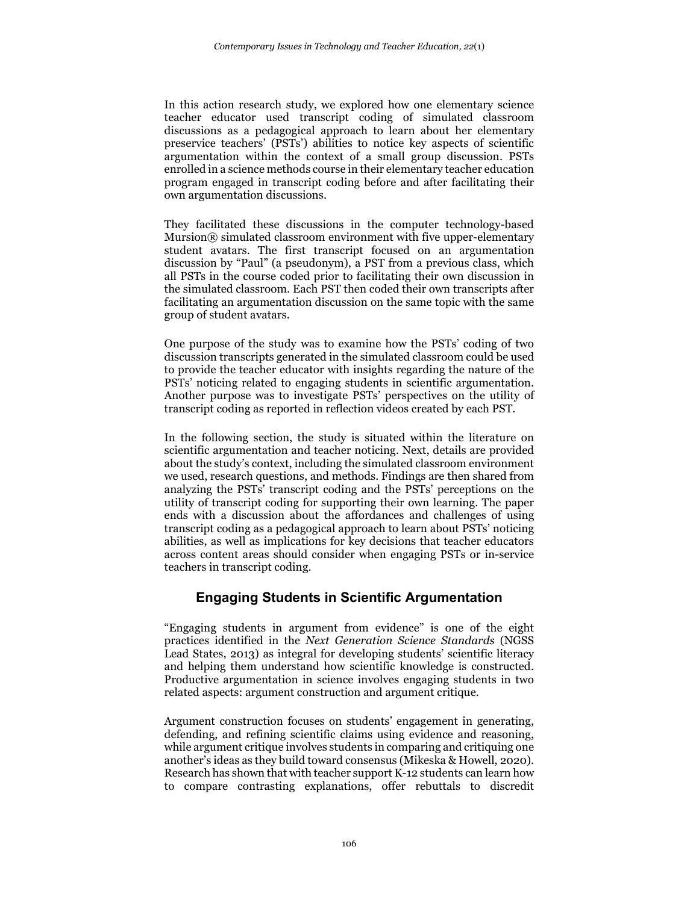In this action research study, we explored how one elementary science teacher educator used transcript coding of simulated classroom discussions as a pedagogical approach to learn about her elementary preservice teachers' (PSTs') abilities to notice key aspects of scientific argumentation within the context of a small group discussion. PSTs enrolled in a science methods course in their elementary teacher education program engaged in transcript coding before and after facilitating their own argumentation discussions.

They facilitated these discussions in the computer technology-based Mursion® simulated classroom environment with five upper-elementary student avatars. The first transcript focused on an argumentation discussion by "Paul" (a pseudonym), a PST from a previous class, which all PSTs in the course coded prior to facilitating their own discussion in the simulated classroom. Each PST then coded their own transcripts after facilitating an argumentation discussion on the same topic with the same group of student avatars.

One purpose of the study was to examine how the PSTs' coding of two discussion transcripts generated in the simulated classroom could be used to provide the teacher educator with insights regarding the nature of the PSTs' noticing related to engaging students in scientific argumentation. Another purpose was to investigate PSTs' perspectives on the utility of transcript coding as reported in reflection videos created by each PST.

In the following section, the study is situated within the literature on scientific argumentation and teacher noticing. Next, details are provided about the study's context, including the simulated classroom environment we used, research questions, and methods. Findings are then shared from analyzing the PSTs' transcript coding and the PSTs' perceptions on the utility of transcript coding for supporting their own learning. The paper ends with a discussion about the affordances and challenges of using transcript coding as a pedagogical approach to learn about PSTs' noticing abilities, as well as implications for key decisions that teacher educators across content areas should consider when engaging PSTs or in-service teachers in transcript coding.

## **Engaging Students in Scientific Argumentation**

"Engaging students in argument from evidence" is one of the eight practices identified in the *Next Generation Science Standards* (NGSS Lead States, 2013) as integral for developing students' scientific literacy and helping them understand how scientific knowledge is constructed. Productive argumentation in science involves engaging students in two related aspects: argument construction and argument critique.

Argument construction focuses on students' engagement in generating, defending, and refining scientific claims using evidence and reasoning, while argument critique involves students in comparing and critiquing one another's ideas as they build toward consensus (Mikeska & Howell, 2020). Research has shown that with teacher support K-12 students can learn how to compare contrasting explanations, offer rebuttals to discredit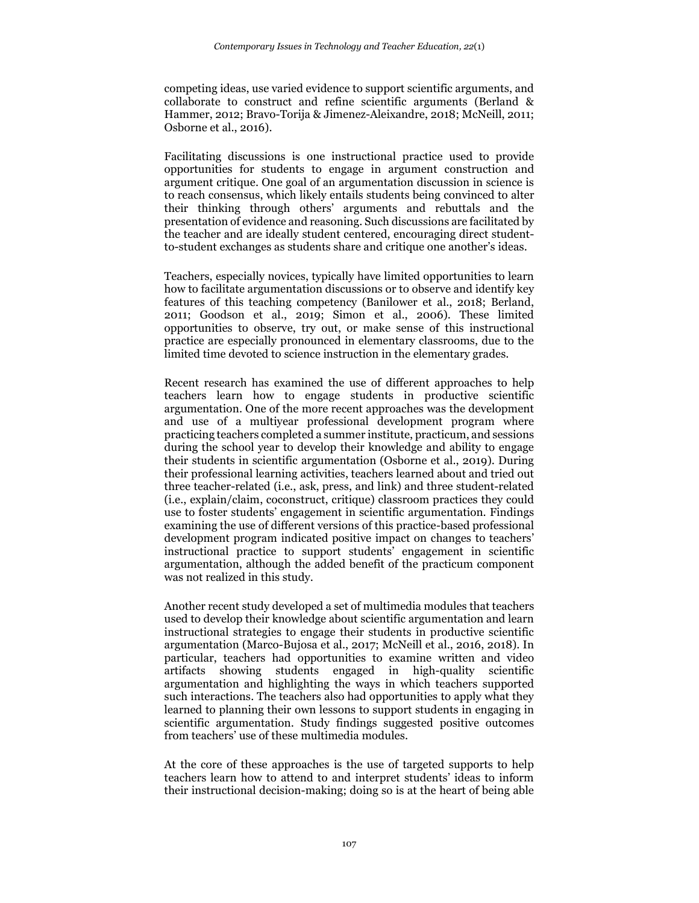competing ideas, use varied evidence to support scientific arguments, and collaborate to construct and refine scientific arguments (Berland & Hammer, 2012; Bravo-Torija & Jimenez-Aleixandre, 2018; McNeill, 2011; Osborne et al., 2016).

Facilitating discussions is one instructional practice used to provide opportunities for students to engage in argument construction and argument critique. One goal of an argumentation discussion in science is to reach consensus, which likely entails students being convinced to alter their thinking through others' arguments and rebuttals and the presentation of evidence and reasoning. Such discussions are facilitated by the teacher and are ideally student centered, encouraging direct studentto-student exchanges as students share and critique one another's ideas.

Teachers, especially novices, typically have limited opportunities to learn how to facilitate argumentation discussions or to observe and identify key features of this teaching competency (Banilower et al., 2018; Berland, 2011; Goodson et al., 2019; Simon et al., 2006). These limited opportunities to observe, try out, or make sense of this instructional practice are especially pronounced in elementary classrooms, due to the limited time devoted to science instruction in the elementary grades.

Recent research has examined the use of different approaches to help teachers learn how to engage students in productive scientific argumentation. One of the more recent approaches was the development and use of a multiyear professional development program where practicing teachers completed a summer institute, practicum, and sessions during the school year to develop their knowledge and ability to engage their students in scientific argumentation (Osborne et al., 2019). During their professional learning activities, teachers learned about and tried out three teacher-related (i.e., ask, press, and link) and three student-related (i.e., explain/claim, coconstruct, critique) classroom practices they could use to foster students' engagement in scientific argumentation. Findings examining the use of different versions of this practice-based professional development program indicated positive impact on changes to teachers' instructional practice to support students' engagement in scientific argumentation, although the added benefit of the practicum component was not realized in this study.

Another recent study developed a set of multimedia modules that teachers used to develop their knowledge about scientific argumentation and learn instructional strategies to engage their students in productive scientific argumentation (Marco-Bujosa et al., 2017; McNeill et al., 2016, 2018). In particular, teachers had opportunities to examine written and video artifacts showing students engaged in high-quality scientific argumentation and highlighting the ways in which teachers supported such interactions. The teachers also had opportunities to apply what they learned to planning their own lessons to support students in engaging in scientific argumentation. Study findings suggested positive outcomes from teachers' use of these multimedia modules.

At the core of these approaches is the use of targeted supports to help teachers learn how to attend to and interpret students' ideas to inform their instructional decision-making; doing so is at the heart of being able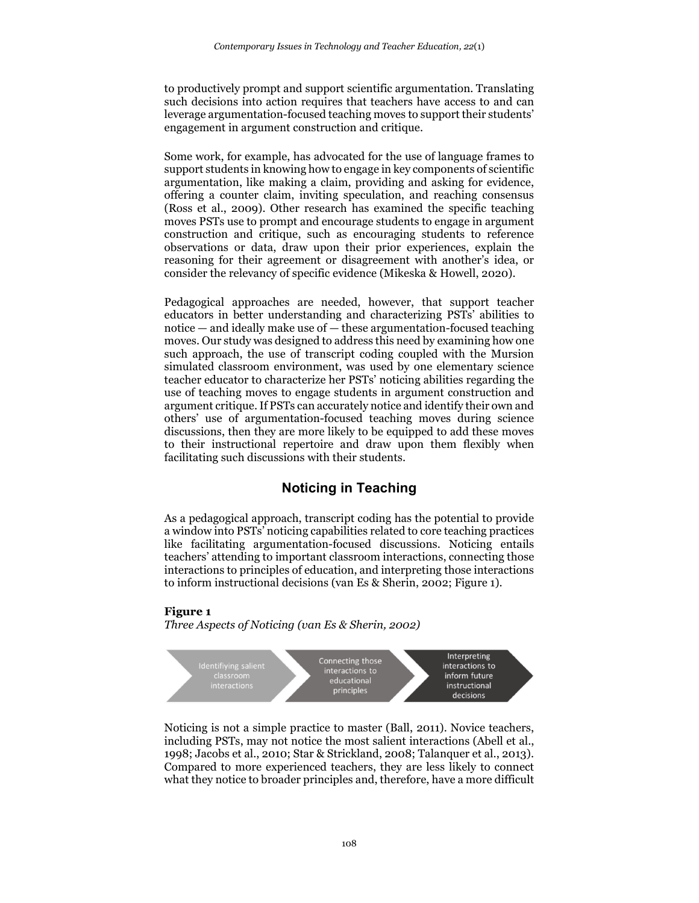to productively prompt and support scientific argumentation. Translating such decisions into action requires that teachers have access to and can leverage argumentation-focused teaching moves to support their students' engagement in argument construction and critique.

Some work, for example, has advocated for the use of language frames to support students in knowing how to engage in key components of scientific argumentation, like making a claim, providing and asking for evidence, offering a counter claim, inviting speculation, and reaching consensus (Ross et al., 2009). Other research has examined the specific teaching moves PSTs use to prompt and encourage students to engage in argument construction and critique, such as encouraging students to reference observations or data, draw upon their prior experiences, explain the reasoning for their agreement or disagreement with another's idea, or consider the relevancy of specific evidence (Mikeska & Howell, 2020).

Pedagogical approaches are needed, however, that support teacher educators in better understanding and characterizing PSTs' abilities to notice — and ideally make use of — these argumentation-focused teaching moves. Our study was designed to address this need by examining how one such approach, the use of transcript coding coupled with the Mursion simulated classroom environment, was used by one elementary science teacher educator to characterize her PSTs' noticing abilities regarding the use of teaching moves to engage students in argument construction and argument critique. If PSTs can accurately notice and identify their own and others' use of argumentation-focused teaching moves during science discussions, then they are more likely to be equipped to add these moves to their instructional repertoire and draw upon them flexibly when facilitating such discussions with their students.

## **Noticing in Teaching**

As a pedagogical approach, transcript coding has the potential to provide a window into PSTs' noticing capabilities related to core teaching practices like facilitating argumentation-focused discussions. Noticing entails teachers' attending to important classroom interactions, connecting those interactions to principles of education, and interpreting those interactions to inform instructional decisions (van Es & Sherin, 2002; Figure 1).

#### **Figure 1**

*Three Aspects of Noticing (van Es & Sherin, 2002)*



Noticing is not a simple practice to master (Ball, 2011). Novice teachers, including PSTs, may not notice the most salient interactions (Abell et al., 1998; Jacobs et al., 2010; Star & Strickland, 2008; Talanquer et al., 2013). Compared to more experienced teachers, they are less likely to connect what they notice to broader principles and, therefore, have a more difficult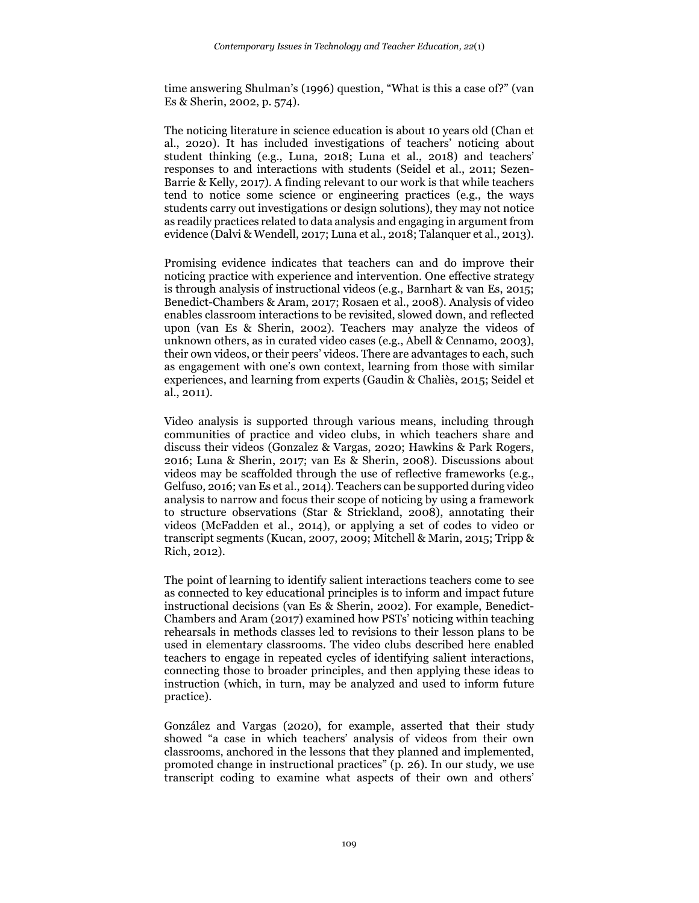time answering Shulman's (1996) question, "What is this a case of?" (van Es & Sherin, 2002, p. 574).

The noticing literature in science education is about 10 years old (Chan et al., 2020). It has included investigations of teachers' noticing about student thinking (e.g., Luna, 2018; Luna et al., 2018) and teachers' responses to and interactions with students (Seidel et al., 2011; Sezen-Barrie & Kelly, 2017). A finding relevant to our work is that while teachers tend to notice some science or engineering practices (e.g., the ways students carry out investigations or design solutions), they may not notice as readily practices related to data analysis and engaging in argument from evidence (Dalvi & Wendell, 2017; Luna et al., 2018; Talanquer et al., 2013).

Promising evidence indicates that teachers can and do improve their noticing practice with experience and intervention. One effective strategy is through analysis of instructional videos (e.g., Barnhart & van Es, 2015; Benedict-Chambers & Aram, 2017; Rosaen et al., 2008). Analysis of video enables classroom interactions to be revisited, slowed down, and reflected upon (van Es & Sherin, 2002). Teachers may analyze the videos of unknown others, as in curated video cases (e.g., Abell & Cennamo, 2003), their own videos, or their peers' videos. There are advantages to each, such as engagement with one's own context, learning from those with similar experiences, and learning from experts (Gaudin & Chaliès, 2015; Seidel et al., 2011).

Video analysis is supported through various means, including through communities of practice and video clubs, in which teachers share and discuss their videos (Gonzalez & Vargas, 2020; Hawkins & Park Rogers, 2016; Luna & Sherin, 2017; van Es & Sherin, 2008). Discussions about videos may be scaffolded through the use of reflective frameworks (e.g., Gelfuso, 2016; van Es et al., 2014). Teachers can be supported during video analysis to narrow and focus their scope of noticing by using a framework to structure observations (Star & Strickland, 2008), annotating their videos (McFadden et al., 2014), or applying a set of codes to video or transcript segments (Kucan, 2007, 2009; Mitchell & Marin, 2015; Tripp & Rich, 2012).

The point of learning to identify salient interactions teachers come to see as connected to key educational principles is to inform and impact future instructional decisions (van Es & Sherin, 2002). For example, Benedict-Chambers and Aram (2017) examined how PSTs' noticing within teaching rehearsals in methods classes led to revisions to their lesson plans to be used in elementary classrooms. The video clubs described here enabled teachers to engage in repeated cycles of identifying salient interactions, connecting those to broader principles, and then applying these ideas to instruction (which, in turn, may be analyzed and used to inform future practice).

González and Vargas (2020), for example, asserted that their study showed "a case in which teachers' analysis of videos from their own classrooms, anchored in the lessons that they planned and implemented, promoted change in instructional practices" (p. 26). In our study, we use transcript coding to examine what aspects of their own and others'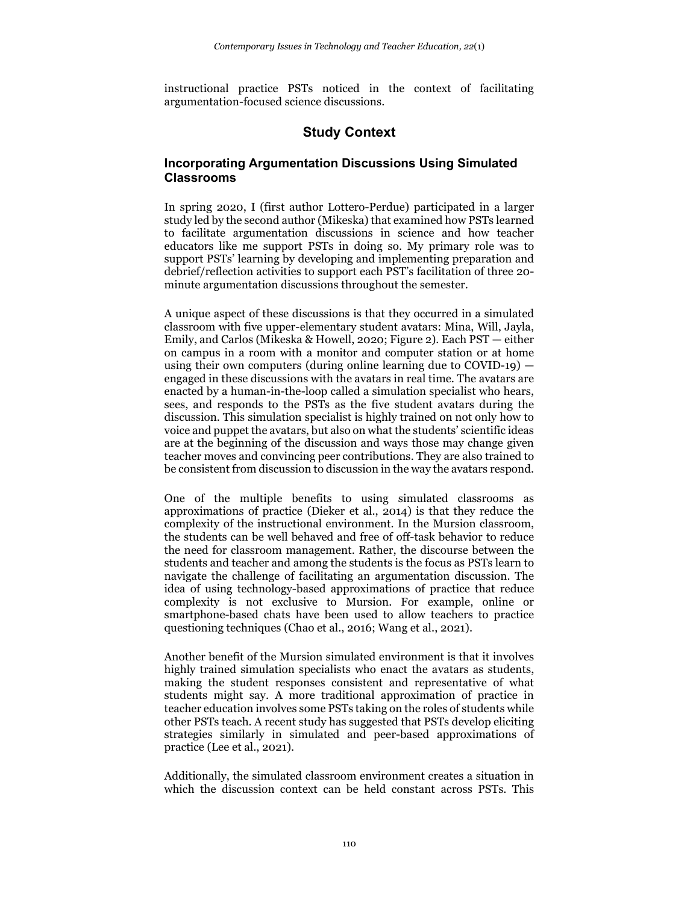instructional practice PSTs noticed in the context of facilitating argumentation-focused science discussions.

# **Study Context**

### **Incorporating Argumentation Discussions Using Simulated Classrooms**

In spring 2020, I (first author Lottero-Perdue) participated in a larger study led by the second author (Mikeska) that examined how PSTs learned to facilitate argumentation discussions in science and how teacher educators like me support PSTs in doing so. My primary role was to support PSTs' learning by developing and implementing preparation and debrief/reflection activities to support each PST's facilitation of three 20 minute argumentation discussions throughout the semester.

A unique aspect of these discussions is that they occurred in a simulated classroom with five upper-elementary student avatars: Mina, Will, Jayla, Emily, and Carlos (Mikeska & Howell, 2020; Figure 2). Each PST — either on campus in a room with a monitor and computer station or at home using their own computers (during online learning due to  $\text{COVID-19}$ )  $$ engaged in these discussions with the avatars in real time. The avatars are enacted by a human-in-the-loop called a simulation specialist who hears, sees, and responds to the PSTs as the five student avatars during the discussion. This simulation specialist is highly trained on not only how to voice and puppet the avatars, but also on what the students' scientific ideas are at the beginning of the discussion and ways those may change given teacher moves and convincing peer contributions. They are also trained to be consistent from discussion to discussion in the way the avatars respond.

One of the multiple benefits to using simulated classrooms as approximations of practice (Dieker et al., 2014) is that they reduce the complexity of the instructional environment. In the Mursion classroom, the students can be well behaved and free of off-task behavior to reduce the need for classroom management. Rather, the discourse between the students and teacher and among the students is the focus as PSTs learn to navigate the challenge of facilitating an argumentation discussion. The idea of using technology-based approximations of practice that reduce complexity is not exclusive to Mursion. For example, online or smartphone-based chats have been used to allow teachers to practice questioning techniques (Chao et al., 2016; Wang et al., 2021).

Another benefit of the Mursion simulated environment is that it involves highly trained simulation specialists who enact the avatars as students, making the student responses consistent and representative of what students might say. A more traditional approximation of practice in teacher education involves some PSTs taking on the roles of students while other PSTs teach. A recent study has suggested that PSTs develop eliciting strategies similarly in simulated and peer-based approximations of practice (Lee et al., 2021).

Additionally, the simulated classroom environment creates a situation in which the discussion context can be held constant across PSTs. This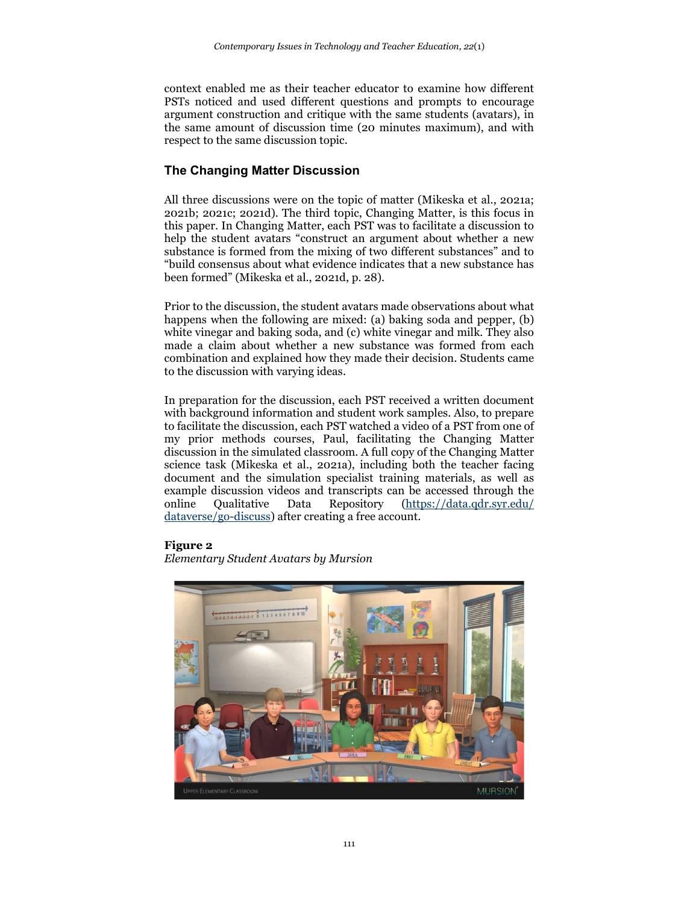context enabled me as their teacher educator to examine how different PSTs noticed and used different questions and prompts to encourage argument construction and critique with the same students (avatars), in the same amount of discussion time (20 minutes maximum), and with respect to the same discussion topic.

## **The Changing Matter Discussion**

All three discussions were on the topic of matter (Mikeska et al., 2021a; 2021b; 2021c; 2021d). The third topic, Changing Matter, is this focus in this paper. In Changing Matter, each PST was to facilitate a discussion to help the student avatars "construct an argument about whether a new substance is formed from the mixing of two different substances" and to "build consensus about what evidence indicates that a new substance has been formed" (Mikeska et al., 2021d, p. 28).

Prior to the discussion, the student avatars made observations about what happens when the following are mixed: (a) baking soda and pepper, (b) white vinegar and baking soda, and (c) white vinegar and milk. They also made a claim about whether a new substance was formed from each combination and explained how they made their decision. Students came to the discussion with varying ideas.

In preparation for the discussion, each PST received a written document with background information and student work samples. Also, to prepare to facilitate the discussion, each PST watched a video of a PST from one of my prior methods courses, Paul, facilitating the Changing Matter discussion in the simulated classroom. A full copy of the Changing Matter science task (Mikeska et al., 2021a), including both the teacher facing document and the simulation specialist training materials, as well as example discussion videos and transcripts can be accessed through the online Qualitative Data Repository [\(https://data.qdr.syr.edu/](https://data.qdr.syr.edu/%20dataverse/go-discuss)  [dataverse/go-discuss\)](https://data.qdr.syr.edu/%20dataverse/go-discuss) after creating a free account.

#### **Figure 2**

*Elementary Student Avatars by Mursion*

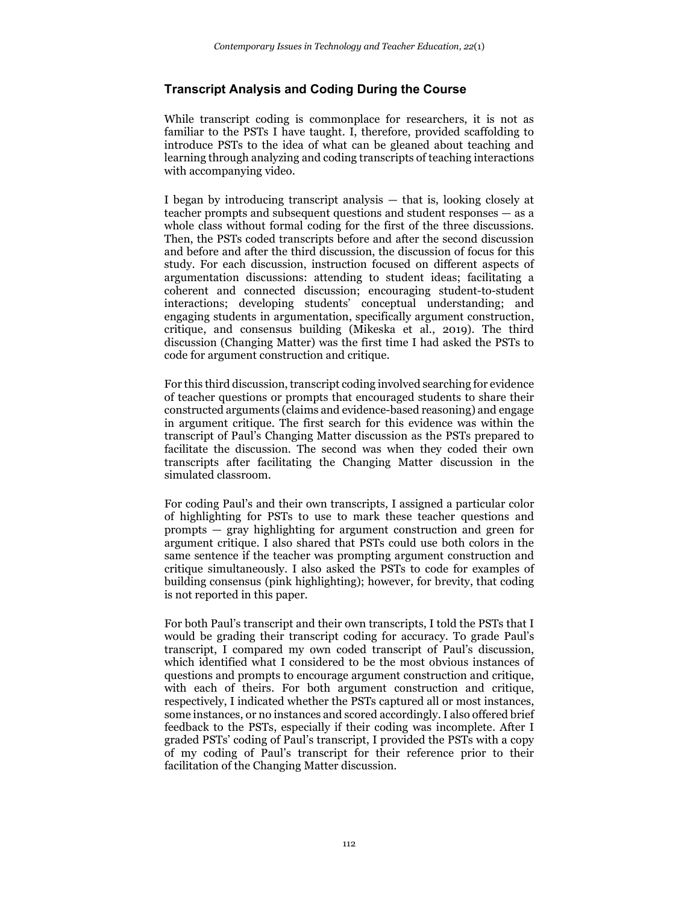### **Transcript Analysis and Coding During the Course**

While transcript coding is commonplace for researchers, it is not as familiar to the PSTs I have taught. I, therefore, provided scaffolding to introduce PSTs to the idea of what can be gleaned about teaching and learning through analyzing and coding transcripts of teaching interactions with accompanying video.

I began by introducing transcript analysis — that is, looking closely at teacher prompts and subsequent questions and student responses — as a whole class without formal coding for the first of the three discussions. Then, the PSTs coded transcripts before and after the second discussion and before and after the third discussion, the discussion of focus for this study. For each discussion, instruction focused on different aspects of argumentation discussions: attending to student ideas; facilitating a coherent and connected discussion; encouraging student-to-student interactions; developing students' conceptual understanding; and engaging students in argumentation, specifically argument construction, critique, and consensus building (Mikeska et al., 2019). The third discussion (Changing Matter) was the first time I had asked the PSTs to code for argument construction and critique.

For this third discussion, transcript coding involved searching for evidence of teacher questions or prompts that encouraged students to share their constructed arguments (claims and evidence-based reasoning) and engage in argument critique. The first search for this evidence was within the transcript of Paul's Changing Matter discussion as the PSTs prepared to facilitate the discussion. The second was when they coded their own transcripts after facilitating the Changing Matter discussion in the simulated classroom.

For coding Paul's and their own transcripts, I assigned a particular color of highlighting for PSTs to use to mark these teacher questions and prompts — gray highlighting for argument construction and green for argument critique. I also shared that PSTs could use both colors in the same sentence if the teacher was prompting argument construction and critique simultaneously. I also asked the PSTs to code for examples of building consensus (pink highlighting); however, for brevity, that coding is not reported in this paper.

For both Paul's transcript and their own transcripts, I told the PSTs that I would be grading their transcript coding for accuracy. To grade Paul's transcript, I compared my own coded transcript of Paul's discussion, which identified what I considered to be the most obvious instances of questions and prompts to encourage argument construction and critique, with each of theirs. For both argument construction and critique, respectively, I indicated whether the PSTs captured all or most instances, some instances, or no instances and scored accordingly. I also offered brief feedback to the PSTs, especially if their coding was incomplete. After I graded PSTs' coding of Paul's transcript, I provided the PSTs with a copy of my coding of Paul's transcript for their reference prior to their facilitation of the Changing Matter discussion.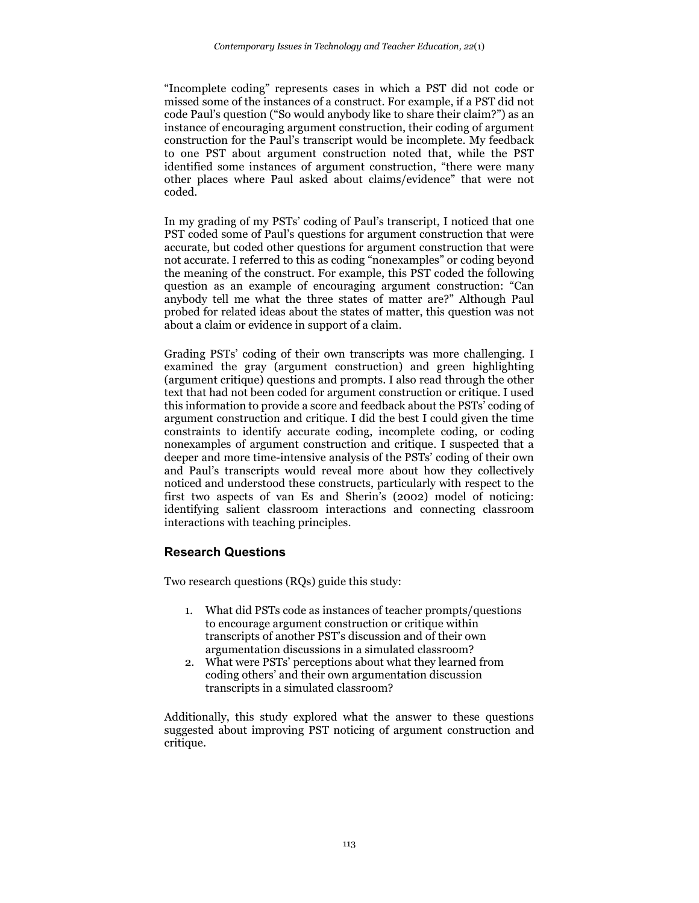"Incomplete coding" represents cases in which a PST did not code or missed some of the instances of a construct. For example, if a PST did not code Paul's question ("So would anybody like to share their claim?") as an instance of encouraging argument construction, their coding of argument construction for the Paul's transcript would be incomplete. My feedback to one PST about argument construction noted that, while the PST identified some instances of argument construction, "there were many other places where Paul asked about claims/evidence" that were not coded.

In my grading of my PSTs' coding of Paul's transcript, I noticed that one PST coded some of Paul's questions for argument construction that were accurate, but coded other questions for argument construction that were not accurate. I referred to this as coding "nonexamples" or coding beyond the meaning of the construct. For example, this PST coded the following question as an example of encouraging argument construction: "Can anybody tell me what the three states of matter are?" Although Paul probed for related ideas about the states of matter, this question was not about a claim or evidence in support of a claim.

Grading PSTs' coding of their own transcripts was more challenging. I examined the gray (argument construction) and green highlighting (argument critique) questions and prompts. I also read through the other text that had not been coded for argument construction or critique. I used this information to provide a score and feedback about the PSTs' coding of argument construction and critique. I did the best I could given the time constraints to identify accurate coding, incomplete coding, or coding nonexamples of argument construction and critique. I suspected that a deeper and more time-intensive analysis of the PSTs' coding of their own and Paul's transcripts would reveal more about how they collectively noticed and understood these constructs, particularly with respect to the first two aspects of van Es and Sherin's (2002) model of noticing: identifying salient classroom interactions and connecting classroom interactions with teaching principles.

### **Research Questions**

Two research questions (RQs) guide this study:

- 1. What did PSTs code as instances of teacher prompts/questions to encourage argument construction or critique within transcripts of another PST's discussion and of their own argumentation discussions in a simulated classroom?
- 2. What were PSTs' perceptions about what they learned from coding others' and their own argumentation discussion transcripts in a simulated classroom?

Additionally, this study explored what the answer to these questions suggested about improving PST noticing of argument construction and critique.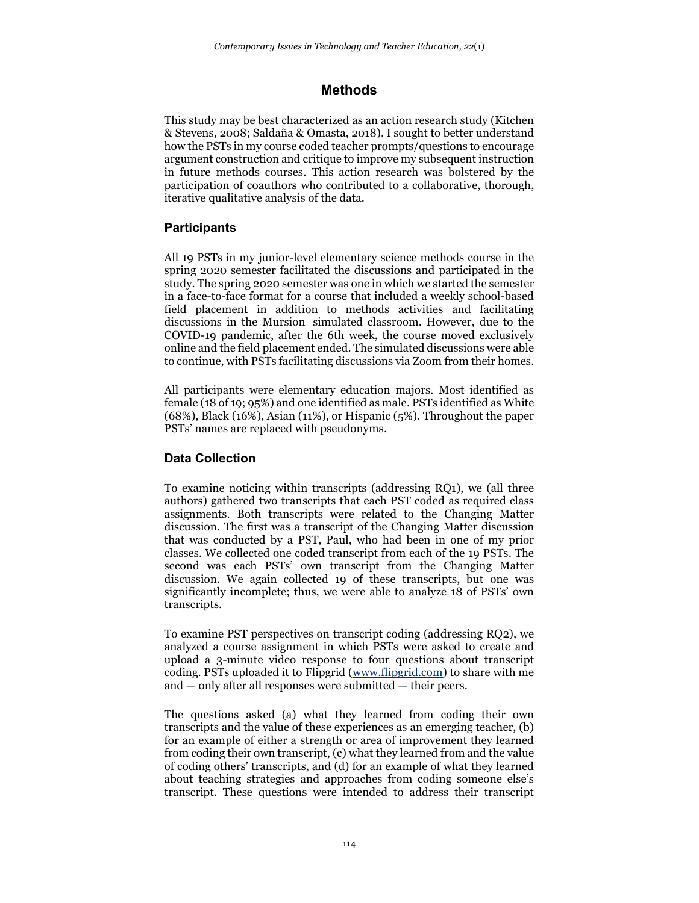# **Methods**

This study may be best characterized as an action research study (Kitchen & Stevens, 2008; Saldaña & Omasta, 2018). I sought to better understand how the PSTs in my course coded teacher prompts/questions to encourage argument construction and critique to improve my subsequent instruction in future methods courses. This action research was bolstered by the participation of coauthors who contributed to a collaborative, thorough, iterative qualitative analysis of the data.

## **Participants**

All 19 PSTs in my junior-level elementary science methods course in the spring 2020 semester facilitated the discussions and participated in the study. The spring 2020 semester was one in which we started the semester in a face-to-face format for a course that included a weekly school-based field placement in addition to methods activities and facilitating discussions in the Mursion simulated classroom. However, due to the COVID-19 pandemic, after the 6th week, the course moved exclusively online and the field placement ended. The simulated discussions were able to continue, with PSTs facilitating discussions via Zoom from their homes.

All participants were elementary education majors. Most identified as female (18 of 19; 95%) and one identified as male. PSTs identified as White (68%), Black (16%), Asian (11%), or Hispanic (5%). Throughout the paper PSTs' names are replaced with pseudonyms.

## **Data Collection**

To examine noticing within transcripts (addressing RQ1), we (all three authors) gathered two transcripts that each PST coded as required class assignments. Both transcripts were related to the Changing Matter discussion. The first was a transcript of the Changing Matter discussion that was conducted by a PST, Paul, who had been in one of my prior classes. We collected one coded transcript from each of the 19 PSTs. The second was each PSTs' own transcript from the Changing Matter discussion. We again collected 19 of these transcripts, but one was significantly incomplete; thus, we were able to analyze 18 of PSTs' own transcripts.

To examine PST perspectives on transcript coding (addressing RQ2), we analyzed a course assignment in which PSTs were asked to create and upload a 3-minute video response to four questions about transcript coding. PSTs uploaded it to Flipgrid [\(www.flipgrid.com\)](http://www.flipgrid.com/) to share with me and — only after all responses were submitted — their peers.

The questions asked (a) what they learned from coding their own transcripts and the value of these experiences as an emerging teacher, (b) for an example of either a strength or area of improvement they learned from coding their own transcript, (c) what they learned from and the value of coding others' transcripts, and (d) for an example of what they learned about teaching strategies and approaches from coding someone else's transcript. These questions were intended to address their transcript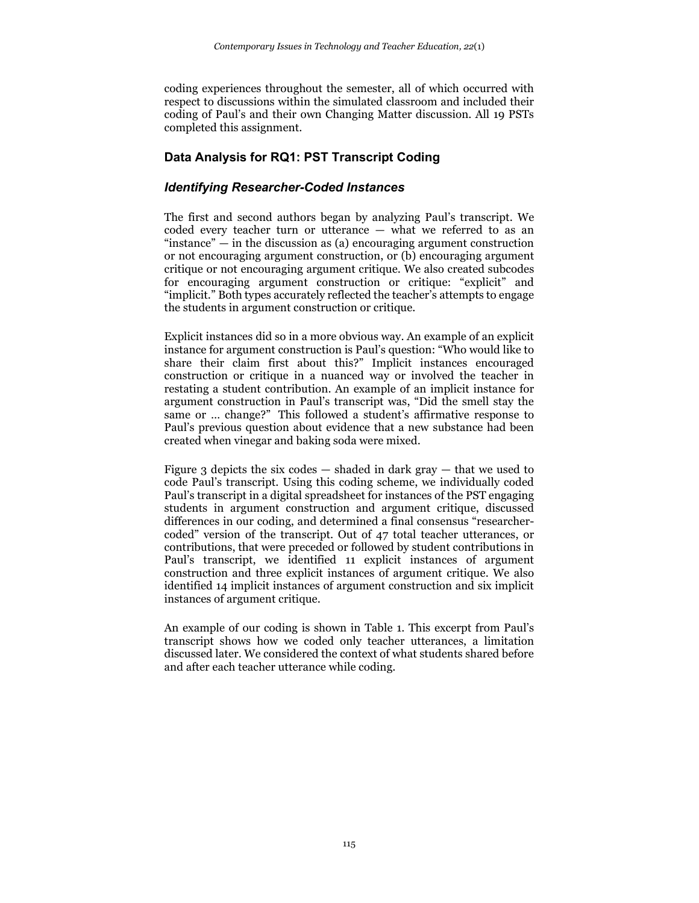coding experiences throughout the semester, all of which occurred with respect to discussions within the simulated classroom and included their coding of Paul's and their own Changing Matter discussion. All 19 PSTs completed this assignment.

## **Data Analysis for RQ1: PST Transcript Coding**

### *Identifying Researcher-Coded Instances*

The first and second authors began by analyzing Paul's transcript. We coded every teacher turn or utterance — what we referred to as an "instance"  $-$  in the discussion as (a) encouraging argument construction or not encouraging argument construction, or (b) encouraging argument critique or not encouraging argument critique. We also created subcodes for encouraging argument construction or critique: "explicit" and "implicit." Both types accurately reflected the teacher's attempts to engage the students in argument construction or critique.

Explicit instances did so in a more obvious way. An example of an explicit instance for argument construction is Paul's question: "Who would like to share their claim first about this?" Implicit instances encouraged construction or critique in a nuanced way or involved the teacher in restating a student contribution. An example of an implicit instance for argument construction in Paul's transcript was, "Did the smell stay the same or … change?" This followed a student's affirmative response to Paul's previous question about evidence that a new substance had been created when vinegar and baking soda were mixed.

Figure 3 depicts the six codes  $-$  shaded in dark gray  $-$  that we used to code Paul's transcript. Using this coding scheme, we individually coded Paul's transcript in a digital spreadsheet for instances of the PST engaging students in argument construction and argument critique, discussed differences in our coding, and determined a final consensus "researchercoded" version of the transcript. Out of 47 total teacher utterances, or contributions, that were preceded or followed by student contributions in Paul's transcript, we identified 11 explicit instances of argument construction and three explicit instances of argument critique. We also identified 14 implicit instances of argument construction and six implicit instances of argument critique.

An example of our coding is shown in Table 1. This excerpt from Paul's transcript shows how we coded only teacher utterances, a limitation discussed later. We considered the context of what students shared before and after each teacher utterance while coding.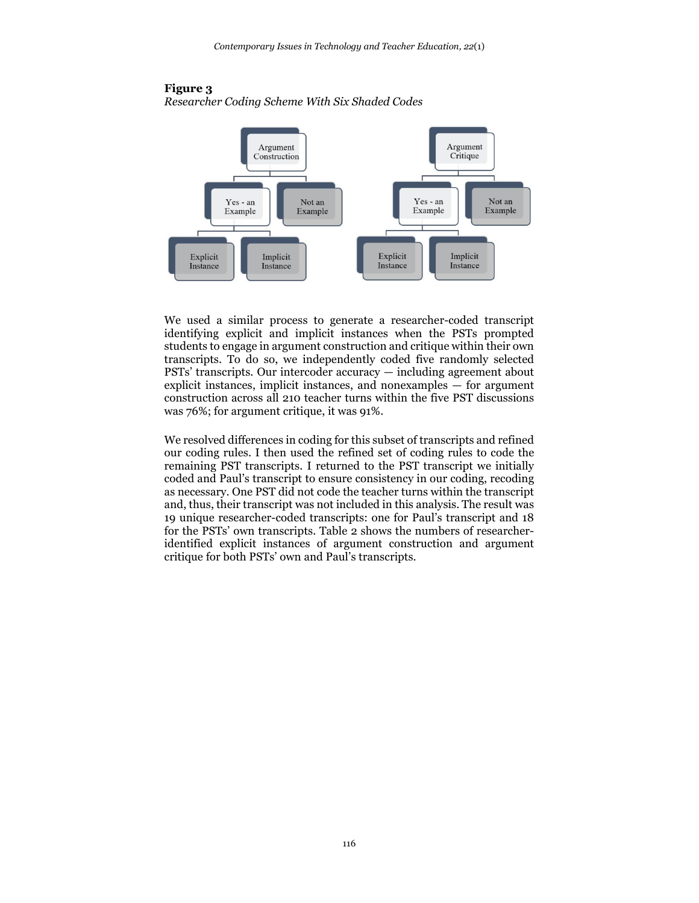

#### **Figure 3** *Researcher Coding Scheme With Six Shaded Codes*

We used a similar process to generate a researcher-coded transcript identifying explicit and implicit instances when the PSTs prompted students to engage in argument construction and critique within their own transcripts. To do so, we independently coded five randomly selected PSTs' transcripts. Our intercoder accuracy — including agreement about explicit instances, implicit instances, and nonexamples — for argument construction across all 210 teacher turns within the five PST discussions was 76%; for argument critique, it was 91%.

We resolved differences in coding for this subset of transcripts and refined our coding rules. I then used the refined set of coding rules to code the remaining PST transcripts. I returned to the PST transcript we initially coded and Paul's transcript to ensure consistency in our coding, recoding as necessary. One PST did not code the teacher turns within the transcript and, thus, their transcript was not included in this analysis. The result was 19 unique researcher-coded transcripts: one for Paul's transcript and 18 for the PSTs' own transcripts. Table 2 shows the numbers of researcheridentified explicit instances of argument construction and argument critique for both PSTs' own and Paul's transcripts.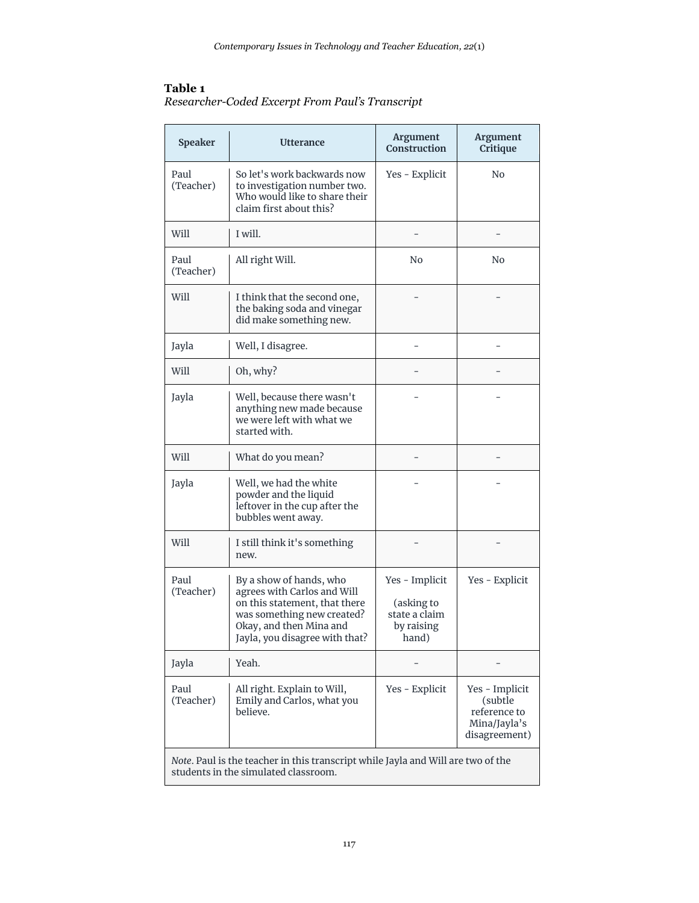## **Table 1**

| Researcher-Coded Excerpt From Paul's Transcript |  |  |
|-------------------------------------------------|--|--|
|                                                 |  |  |

| <b>Speaker</b>    | <b>Utterance</b>                                                                                                                                                                   | <b>Argument</b><br>Construction                                      | Argument<br>Critique                                                       |
|-------------------|------------------------------------------------------------------------------------------------------------------------------------------------------------------------------------|----------------------------------------------------------------------|----------------------------------------------------------------------------|
| Paul<br>(Teacher) | So let's work backwards now<br>to investigation number two.<br>Who would like to share their<br>claim first about this?                                                            | Yes - Explicit                                                       | N <sub>0</sub>                                                             |
| Will              | I will.                                                                                                                                                                            |                                                                      |                                                                            |
| Paul<br>(Teacher) | All right Will.                                                                                                                                                                    | N <sub>0</sub>                                                       | No.                                                                        |
| Will              | I think that the second one,<br>the baking soda and vinegar<br>did make something new.                                                                                             |                                                                      |                                                                            |
| Jayla             | Well, I disagree.                                                                                                                                                                  |                                                                      |                                                                            |
| Will              | Oh, why?                                                                                                                                                                           |                                                                      |                                                                            |
| Jayla             | Well, because there wasn't<br>anything new made because<br>we were left with what we<br>started with.                                                                              |                                                                      |                                                                            |
| Will              | What do you mean?                                                                                                                                                                  |                                                                      |                                                                            |
| Jayla             | Well, we had the white<br>powder and the liquid<br>leftover in the cup after the<br>bubbles went away.                                                                             |                                                                      |                                                                            |
| Will              | I still think it's something<br>new.                                                                                                                                               |                                                                      |                                                                            |
| Paul<br>(Teacher) | By a show of hands, who<br>agrees with Carlos and Will<br>on this statement, that there<br>was something new created?<br>Okay, and then Mina and<br>Jayla, you disagree with that? | Yes - Implicit<br>(asking to<br>state a claim<br>by raising<br>hand) | Yes - Explicit                                                             |
| Jayla             | Yeah.                                                                                                                                                                              |                                                                      |                                                                            |
| Paul<br>(Teacher) | All right. Explain to Will,<br>Emily and Carlos, what you<br>believe.                                                                                                              | Yes - Explicit                                                       | Yes - Implicit<br>(subtle<br>reference to<br>Mina/Jayla's<br>disagreement) |
|                   | Note. Paul is the teacher in this transcript while Jayla and Will are two of the<br>students in the simulated classroom.                                                           |                                                                      |                                                                            |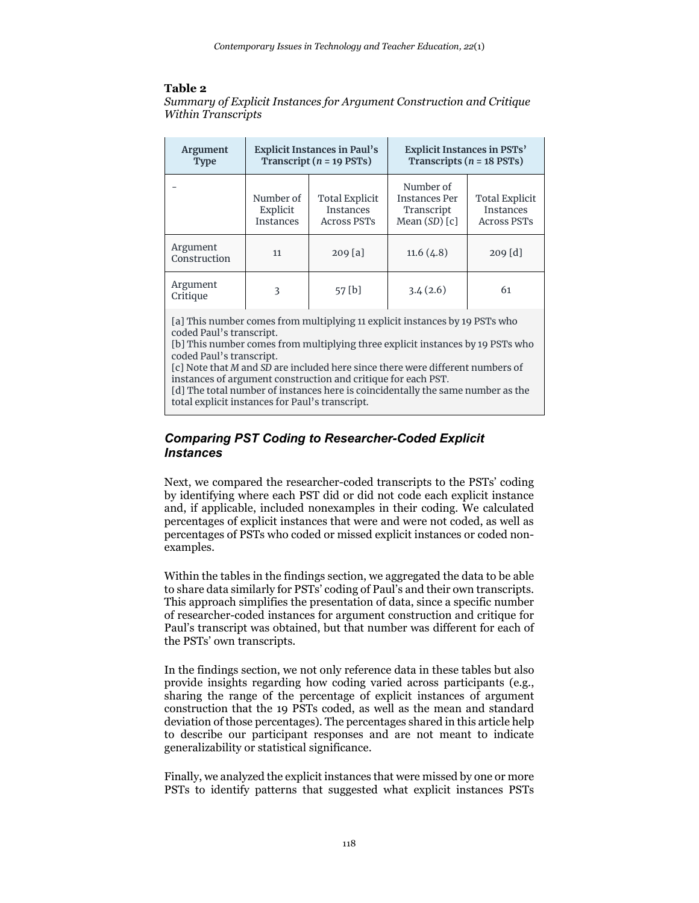### **Table 2**

*Summary of Explicit Instances for Argument Construction and Critique Within Transcripts*

| <b>Argument</b><br><b>Type</b> | <b>Explicit Instances in Paul's</b><br>Transcript ( $n = 19$ PSTs) |                                                                 | Explicit Instances in PSTs'<br>Transcripts ( $n = 18$ PSTs)          |                                                                 |
|--------------------------------|--------------------------------------------------------------------|-----------------------------------------------------------------|----------------------------------------------------------------------|-----------------------------------------------------------------|
|                                | Number of<br>Explicit<br><b>Instances</b>                          | <b>Total Explicit</b><br><b>Instances</b><br><b>Across PSTs</b> | Number of<br><b>Instances Per</b><br>Transcript<br>Mean $(SD)$ $[c]$ | <b>Total Explicit</b><br><b>Instances</b><br><b>Across PSTs</b> |
| Argument<br>Construction       | 11                                                                 | 209 [a]                                                         | 11.6(4.8)                                                            | $209$ [d]                                                       |
| Argument<br>Critique           | 3                                                                  | 57 [b]                                                          | 3.4(2.6)                                                             | 61                                                              |

[a] This number comes from multiplying 11 explicit instances by 19 PSTs who coded Paul's transcript.

[b] This number comes from multiplying three explicit instances by 19 PSTs who coded Paul's transcript.

[c] Note that *M* and *SD* are included here since there were different numbers of instances of argument construction and critique for each PST.

[d] The total number of instances here is coincidentally the same number as the total explicit instances for Paul's transcript.

### *Comparing PST Coding to Researcher-Coded Explicit Instances*

Next, we compared the researcher-coded transcripts to the PSTs' coding by identifying where each PST did or did not code each explicit instance and, if applicable, included nonexamples in their coding. We calculated percentages of explicit instances that were and were not coded, as well as percentages of PSTs who coded or missed explicit instances or coded nonexamples.

Within the tables in the findings section, we aggregated the data to be able to share data similarly for PSTs' coding of Paul's and their own transcripts. This approach simplifies the presentation of data, since a specific number of researcher-coded instances for argument construction and critique for Paul's transcript was obtained, but that number was different for each of the PSTs' own transcripts.

In the findings section, we not only reference data in these tables but also provide insights regarding how coding varied across participants (e.g., sharing the range of the percentage of explicit instances of argument construction that the 19 PSTs coded, as well as the mean and standard deviation of those percentages). The percentages shared in this article help to describe our participant responses and are not meant to indicate generalizability or statistical significance.

Finally, we analyzed the explicit instances that were missed by one or more PSTs to identify patterns that suggested what explicit instances PSTs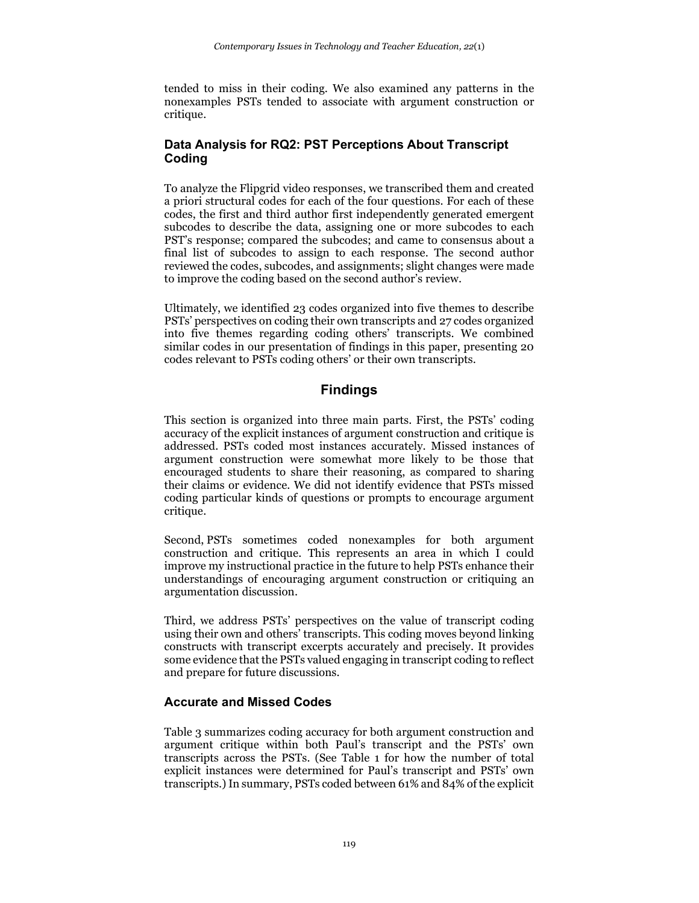tended to miss in their coding. We also examined any patterns in the nonexamples PSTs tended to associate with argument construction or critique.

### **Data Analysis for RQ2: PST Perceptions About Transcript Coding**

To analyze the Flipgrid video responses, we transcribed them and created a priori structural codes for each of the four questions. For each of these codes, the first and third author first independently generated emergent subcodes to describe the data, assigning one or more subcodes to each PST's response; compared the subcodes; and came to consensus about a final list of subcodes to assign to each response. The second author reviewed the codes, subcodes, and assignments; slight changes were made to improve the coding based on the second author's review.

Ultimately, we identified 23 codes organized into five themes to describe PSTs' perspectives on coding their own transcripts and 27 codes organized into five themes regarding coding others' transcripts. We combined similar codes in our presentation of findings in this paper, presenting 20 codes relevant to PSTs coding others' or their own transcripts.

## **Findings**

This section is organized into three main parts. First, the PSTs' coding accuracy of the explicit instances of argument construction and critique is addressed. PSTs coded most instances accurately. Missed instances of argument construction were somewhat more likely to be those that encouraged students to share their reasoning, as compared to sharing their claims or evidence. We did not identify evidence that PSTs missed coding particular kinds of questions or prompts to encourage argument critique.

Second, PSTs sometimes coded nonexamples for both argument construction and critique. This represents an area in which I could improve my instructional practice in the future to help PSTs enhance their understandings of encouraging argument construction or critiquing an argumentation discussion.

Third, we address PSTs' perspectives on the value of transcript coding using their own and others' transcripts. This coding moves beyond linking constructs with transcript excerpts accurately and precisely. It provides some evidence that the PSTs valued engaging in transcript coding to reflect and prepare for future discussions.

### **Accurate and Missed Codes**

Table 3 summarizes coding accuracy for both argument construction and argument critique within both Paul's transcript and the PSTs' own transcripts across the PSTs. (See Table 1 for how the number of total explicit instances were determined for Paul's transcript and PSTs' own transcripts.) In summary, PSTs coded between 61% and 84% of the explicit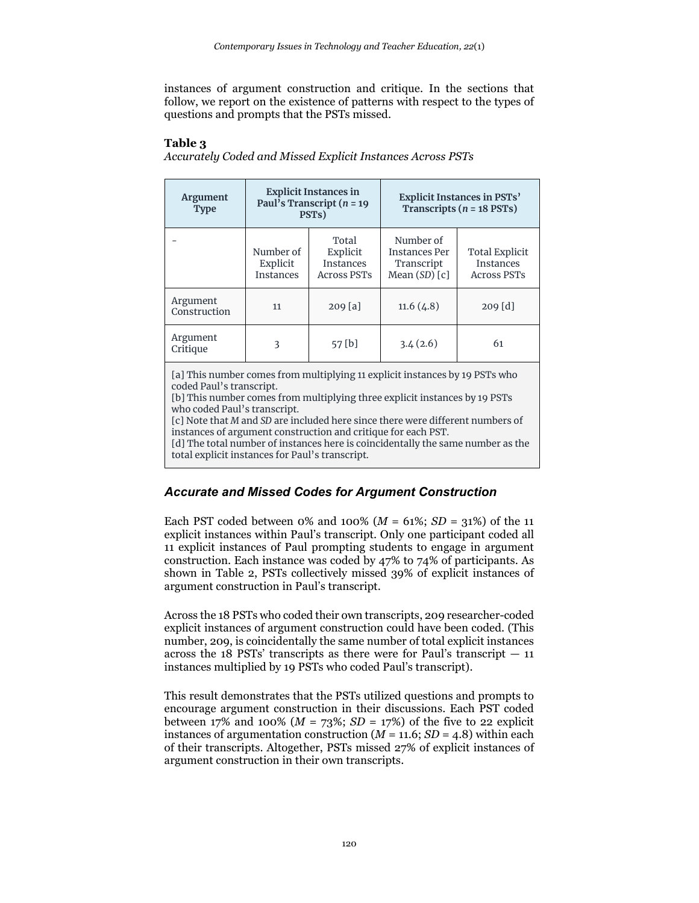instances of argument construction and critique. In the sections that follow, we report on the existence of patterns with respect to the types of questions and prompts that the PSTs missed.

#### **Table 3**

| Accurately Coded and Missed Explicit Instances Across PSTs |  |  |  |
|------------------------------------------------------------|--|--|--|
|                                                            |  |  |  |

| <b>Argument</b><br><b>Type</b> | <b>Explicit Instances in</b><br>Paul's Transcript ( $n = 19$<br>PST <sub>s</sub> ) |                                                             |                                                                      | Explicit Instances in PSTs'<br>Transcripts ( $n = 18$ PSTs)     |
|--------------------------------|------------------------------------------------------------------------------------|-------------------------------------------------------------|----------------------------------------------------------------------|-----------------------------------------------------------------|
|                                | Number of<br>Explicit<br><b>Instances</b>                                          | Total<br>Explicit<br><b>Instances</b><br><b>Across PSTs</b> | Number of<br><b>Instances Per</b><br>Transcript<br>Mean $(SD)$ $[c]$ | <b>Total Explicit</b><br><b>Instances</b><br><b>Across PSTs</b> |
| Argument<br>Construction       | 11                                                                                 | $209$ [a]                                                   | 11.6(4.8)                                                            | $209$ [d]                                                       |
| Argument<br>Critique           | 3                                                                                  | 57 [b]                                                      | 3.4(2.6)                                                             | 61                                                              |

[a] This number comes from multiplying 11 explicit instances by 19 PSTs who coded Paul's transcript.

[b] This number comes from multiplying three explicit instances by 19 PSTs who coded Paul's transcript.

[c] Note that *M* and *SD* are included here since there were different numbers of instances of argument construction and critique for each PST.

[d] The total number of instances here is coincidentally the same number as the total explicit instances for Paul's transcript.

#### *Accurate and Missed Codes for Argument Construction*

Each PST coded between 0% and 100% ( $M = 61\%$ ;  $SD = 31\%$ ) of the 11 explicit instances within Paul's transcript. Only one participant coded all 11 explicit instances of Paul prompting students to engage in argument construction. Each instance was coded by 47% to 74% of participants. As shown in Table 2, PSTs collectively missed 39% of explicit instances of argument construction in Paul's transcript.

Across the 18 PSTs who coded their own transcripts, 209 researcher-coded explicit instances of argument construction could have been coded. (This number, 209, is coincidentally the same number of total explicit instances across the 18 PSTs' transcripts as there were for Paul's transcript  $-11$ instances multiplied by 19 PSTs who coded Paul's transcript).

This result demonstrates that the PSTs utilized questions and prompts to encourage argument construction in their discussions. Each PST coded between 17% and 100% ( $M = 73\%$ ; *SD* = 17%) of the five to 22 explicit instances of argumentation construction  $(M = 11.6; SD = 4.8)$  within each of their transcripts. Altogether, PSTs missed 27% of explicit instances of argument construction in their own transcripts.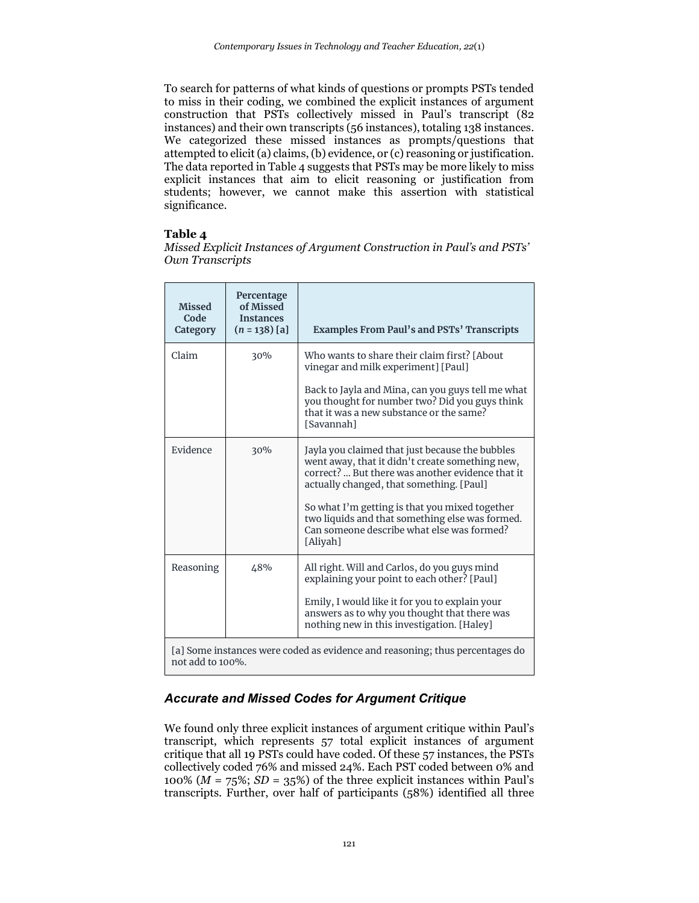To search for patterns of what kinds of questions or prompts PSTs tended to miss in their coding, we combined the explicit instances of argument construction that PSTs collectively missed in Paul's transcript (82 instances) and their own transcripts (56 instances), totaling 138 instances. We categorized these missed instances as prompts/questions that attempted to elicit (a) claims, (b) evidence, or (c) reasoning or justification. The data reported in Table 4 suggests that PSTs may be more likely to miss explicit instances that aim to elicit reasoning or justification from students; however, we cannot make this assertion with statistical significance.

#### **Table 4**

*Missed Explicit Instances of Argument Construction in Paul's and PSTs' Own Transcripts*

| <b>Missed</b><br>Code<br>Category | Percentage<br>of Missed<br><b>Instances</b><br>$(n = 138)$ [a] | <b>Examples From Paul's and PSTs' Transcripts</b>                                                                                                                                                                                                                                                                                                                 |
|-----------------------------------|----------------------------------------------------------------|-------------------------------------------------------------------------------------------------------------------------------------------------------------------------------------------------------------------------------------------------------------------------------------------------------------------------------------------------------------------|
| Claim                             | 30%                                                            | Who wants to share their claim first? [About]<br>vinegar and milk experiment] [Paul]<br>Back to Jayla and Mina, can you guys tell me what<br>you thought for number two? Did you guys think<br>that it was a new substance or the same?<br>[Savannah]                                                                                                             |
| Evidence                          | 30%                                                            | Jayla you claimed that just because the bubbles<br>went away, that it didn't create something new,<br>correct?  But there was another evidence that it<br>actually changed, that something. [Paul]<br>So what I'm getting is that you mixed together<br>two liquids and that something else was formed.<br>Can someone describe what else was formed?<br>[Aliyah] |
| Reasoning                         | 48%                                                            | All right. Will and Carlos, do you guys mind<br>explaining your point to each other? [Paul]<br>Emily, I would like it for you to explain your<br>answers as to why you thought that there was<br>nothing new in this investigation. [Haley]                                                                                                                       |
| not add to 100%.                  |                                                                | [a] Some instances were coded as evidence and reasoning; thus percentages do                                                                                                                                                                                                                                                                                      |

## *Accurate and Missed Codes for Argument Critique*

We found only three explicit instances of argument critique within Paul's transcript, which represents 57 total explicit instances of argument critique that all 19 PSTs could have coded. Of these 57 instances, the PSTs collectively coded 76% and missed 24%. Each PST coded between 0% and 100% ( $M = 75\%$ ;  $SD = 35\%$ ) of the three explicit instances within Paul's transcripts. Further, over half of participants (58%) identified all three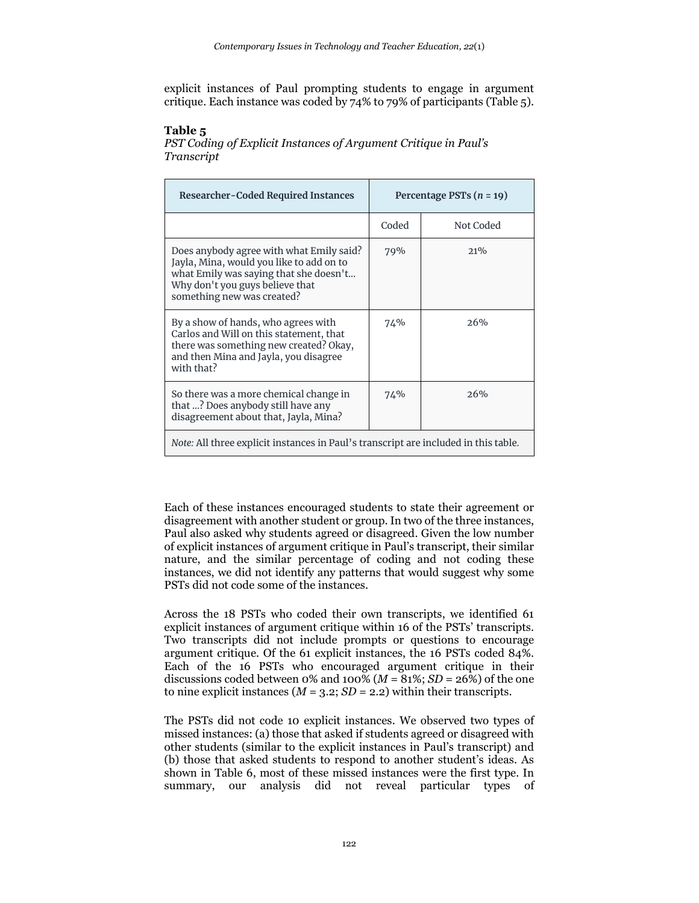explicit instances of Paul prompting students to engage in argument critique. Each instance was coded by  $74\%$  to 79% of participants (Table 5).

#### **Table 5**

*PST Coding of Explicit Instances of Argument Critique in Paul's Transcript*

| <b>Researcher-Coded Required Instances</b>                                                                                                                                                      | Percentage PSTs $(n = 19)$ |           |
|-------------------------------------------------------------------------------------------------------------------------------------------------------------------------------------------------|----------------------------|-----------|
|                                                                                                                                                                                                 | Coded                      | Not Coded |
| Does anybody agree with what Emily said?<br>Jayla, Mina, would you like to add on to<br>what Emily was saying that she doesn't<br>Why don't you guys believe that<br>something new was created? | 79%                        | 21%       |
| By a show of hands, who agrees with<br>Carlos and Will on this statement, that<br>there was something new created? Okay,<br>and then Mina and Jayla, you disagree<br>with that?                 | 74%                        | 26%       |
| So there was a more chemical change in<br>that ? Does anybody still have any<br>disagreement about that, Jayla, Mina?                                                                           | 74%                        | 26%       |
| <i>Note:</i> All three explicit instances in Paul's transcript are included in this table.                                                                                                      |                            |           |

Each of these instances encouraged students to state their agreement or disagreement with another student or group. In two of the three instances, Paul also asked why students agreed or disagreed. Given the low number of explicit instances of argument critique in Paul's transcript, their similar nature, and the similar percentage of coding and not coding these instances, we did not identify any patterns that would suggest why some PSTs did not code some of the instances.

Across the 18 PSTs who coded their own transcripts, we identified 61 explicit instances of argument critique within 16 of the PSTs' transcripts. Two transcripts did not include prompts or questions to encourage argument critique. Of the 61 explicit instances, the 16 PSTs coded 84%. Each of the 16 PSTs who encouraged argument critique in their discussions coded between 0% and 100% ( $M = 81$ %; *SD* = 26%) of the one to nine explicit instances  $(M = 3.2; SD = 2.2)$  within their transcripts.

The PSTs did not code 10 explicit instances. We observed two types of missed instances: (a) those that asked if students agreed or disagreed with other students (similar to the explicit instances in Paul's transcript) and (b) those that asked students to respond to another student's ideas. As shown in Table 6, most of these missed instances were the first type. In summary, our analysis did not reveal particular types of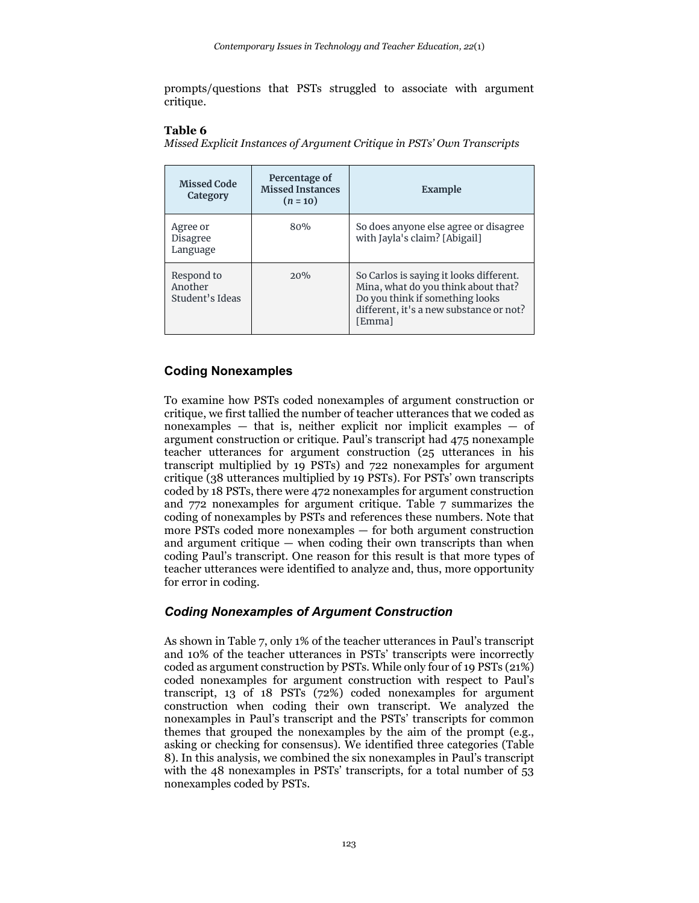prompts/questions that PSTs struggled to associate with argument critique.

#### **Table 6**

*Missed Explicit Instances of Argument Critique in PSTs' Own Transcripts*

| <b>Missed Code</b><br>Category           | Percentage of<br><b>Missed Instances</b><br>$(n = 10)$ | Example                                                                                                                                                                |
|------------------------------------------|--------------------------------------------------------|------------------------------------------------------------------------------------------------------------------------------------------------------------------------|
| Agree or<br>Disagree<br>Language         | 80%                                                    | So does anyone else agree or disagree<br>with Jayla's claim? [Abigail]                                                                                                 |
| Respond to<br>Another<br>Student's Ideas | $2.0\%$                                                | So Carlos is saying it looks different.<br>Mina, what do you think about that?<br>Do you think if something looks<br>different, it's a new substance or not?<br>[Emma] |

### **Coding Nonexamples**

To examine how PSTs coded nonexamples of argument construction or critique, we first tallied the number of teacher utterances that we coded as nonexamples — that is, neither explicit nor implicit examples — of argument construction or critique. Paul's transcript had 475 nonexample teacher utterances for argument construction (25 utterances in his transcript multiplied by 19 PSTs) and 722 nonexamples for argument critique (38 utterances multiplied by 19 PSTs). For PSTs' own transcripts coded by 18 PSTs, there were 472 nonexamples for argument construction and 772 nonexamples for argument critique. Table 7 summarizes the coding of nonexamples by PSTs and references these numbers. Note that more PSTs coded more nonexamples — for both argument construction and argument critique — when coding their own transcripts than when coding Paul's transcript. One reason for this result is that more types of teacher utterances were identified to analyze and, thus, more opportunity for error in coding.

### *Coding Nonexamples of Argument Construction*

As shown in Table 7, only 1% of the teacher utterances in Paul's transcript and 10% of the teacher utterances in PSTs' transcripts were incorrectly coded as argument construction by PSTs. While only four of 19 PSTs (21%) coded nonexamples for argument construction with respect to Paul's transcript, 13 of 18 PSTs (72%) coded nonexamples for argument construction when coding their own transcript. We analyzed the nonexamples in Paul's transcript and the PSTs' transcripts for common themes that grouped the nonexamples by the aim of the prompt (e.g., asking or checking for consensus). We identified three categories (Table 8). In this analysis, we combined the six nonexamples in Paul's transcript with the 48 nonexamples in PSTs' transcripts, for a total number of 53 nonexamples coded by PSTs.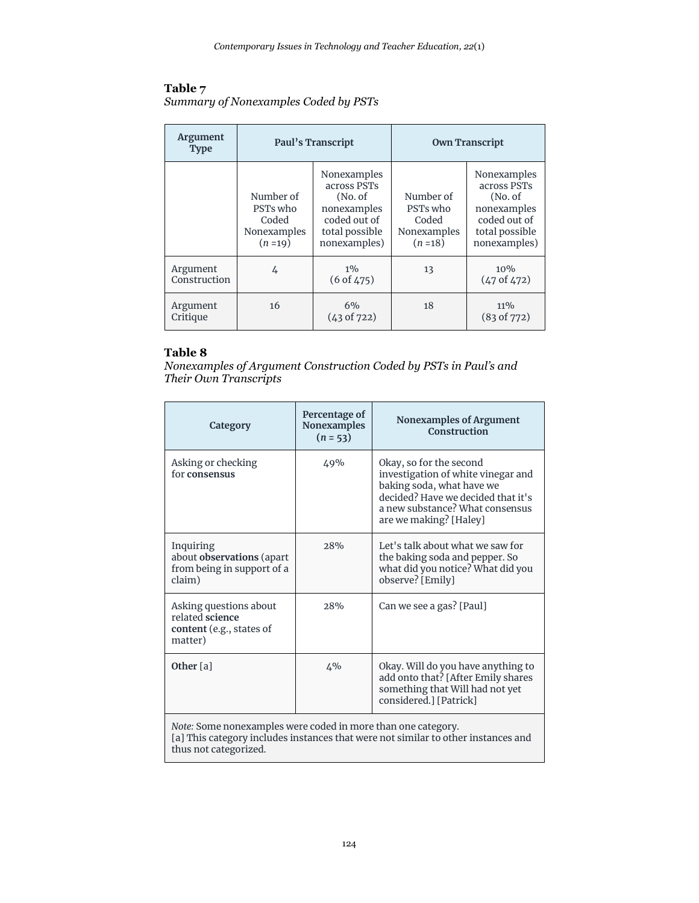#### **Table 7** *Summary of Nonexamples Coded by PSTs*

| <b>Argument</b><br><b>Type</b> | Paul's Transcript                                         |                                                                                                         | <b>Own Transcript</b>                                     |                                                                                                         |
|--------------------------------|-----------------------------------------------------------|---------------------------------------------------------------------------------------------------------|-----------------------------------------------------------|---------------------------------------------------------------------------------------------------------|
|                                | Number of<br>PSTs who<br>Coded<br>Nonexamples<br>$(n=19)$ | Nonexamples<br>across PSTs<br>(No. of)<br>nonexamples<br>coded out of<br>total possible<br>nonexamples) | Number of<br>PSTs who<br>Coded<br>Nonexamples<br>$(n=18)$ | Nonexamples<br>across PSTs<br>(No. of)<br>nonexamples<br>coded out of<br>total possible<br>nonexamples) |
| Argument<br>Construction       | 4                                                         | $1\%$<br>(6 of 475)                                                                                     | 13                                                        | $10\%$<br>$(47 \text{ of } 472)$                                                                        |
| Argument<br>Critique           | 16                                                        | 6%<br>(43 of 722)                                                                                       | 18                                                        | $11\%$<br>(83 of 772)                                                                                   |

### **Table 8**

*Nonexamples of Argument Construction Coded by PSTs in Paul's and Their Own Transcripts*

| Category                                                                         | Percentage of<br><b>Nonexamples</b><br>$(n = 53)$ | Nonexamples of Argument<br>Construction                                                                                                                                                       |
|----------------------------------------------------------------------------------|---------------------------------------------------|-----------------------------------------------------------------------------------------------------------------------------------------------------------------------------------------------|
| Asking or checking<br>for consensus                                              | 49%                                               | Okay, so for the second<br>investigation of white vinegar and<br>baking soda, what have we<br>decided? Have we decided that it's<br>a new substance? What consensus<br>are we making? [Haley] |
| Inquiring<br>about observations (apart<br>from being in support of a<br>claim)   | 28%                                               | Let's talk about what we saw for<br>the baking soda and pepper. So<br>what did you notice? What did you<br>observe? [Emily]                                                                   |
| Asking questions about<br>related science<br>content (e.g., states of<br>matter) | 28%                                               | Can we see a gas? [Paul]                                                                                                                                                                      |
| Other [a]                                                                        | $4\%$                                             | Okay. Will do you have anything to<br>add onto that? [After Emily shares<br>something that Will had not yet<br>considered.] [Patrick]                                                         |

*Note:* Some nonexamples were coded in more than one category. [a] This category includes instances that were not similar to other instances and thus not categorized.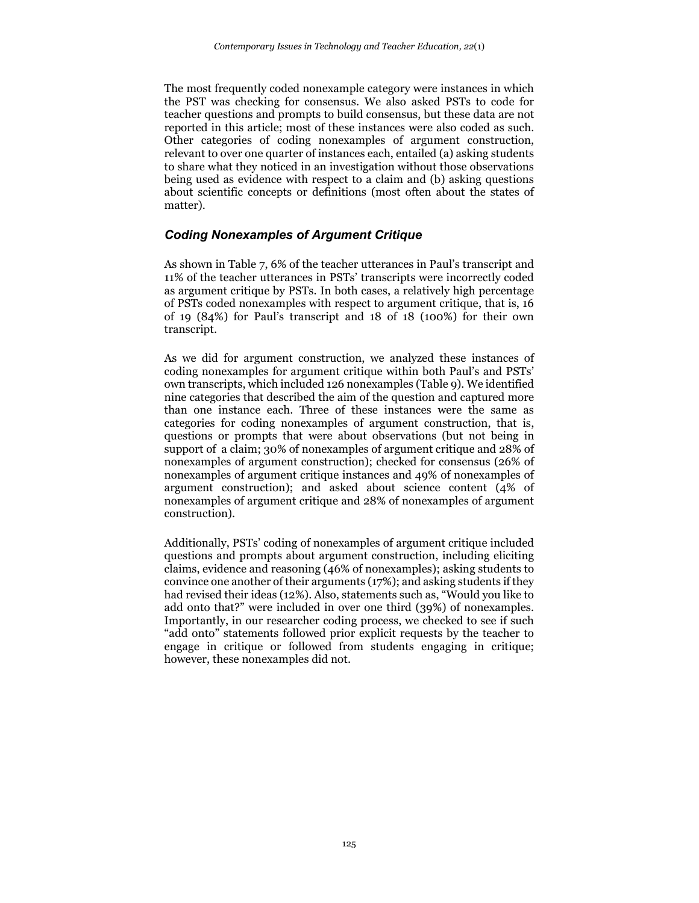The most frequently coded nonexample category were instances in which the PST was checking for consensus. We also asked PSTs to code for teacher questions and prompts to build consensus, but these data are not reported in this article; most of these instances were also coded as such. Other categories of coding nonexamples of argument construction, relevant to over one quarter of instances each, entailed (a) asking students to share what they noticed in an investigation without those observations being used as evidence with respect to a claim and (b) asking questions about scientific concepts or definitions (most often about the states of matter).

### *Coding Nonexamples of Argument Critique*

As shown in Table 7, 6% of the teacher utterances in Paul's transcript and 11% of the teacher utterances in PSTs' transcripts were incorrectly coded as argument critique by PSTs. In both cases, a relatively high percentage of PSTs coded nonexamples with respect to argument critique, that is, 16 of 19 (84%) for Paul's transcript and 18 of 18 (100%) for their own transcript.

As we did for argument construction, we analyzed these instances of coding nonexamples for argument critique within both Paul's and PSTs' own transcripts, which included 126 nonexamples (Table 9). We identified nine categories that described the aim of the question and captured more than one instance each. Three of these instances were the same as categories for coding nonexamples of argument construction, that is, questions or prompts that were about observations (but not being in support of a claim; 30% of nonexamples of argument critique and 28% of nonexamples of argument construction); checked for consensus (26% of nonexamples of argument critique instances and 49% of nonexamples of argument construction); and asked about science content (4% of nonexamples of argument critique and 28% of nonexamples of argument construction).

Additionally, PSTs' coding of nonexamples of argument critique included questions and prompts about argument construction, including eliciting claims, evidence and reasoning (46% of nonexamples); asking students to convince one another of their arguments (17%); and asking students if they had revised their ideas (12%). Also, statements such as, "Would you like to add onto that?" were included in over one third (39%) of nonexamples. Importantly, in our researcher coding process, we checked to see if such "add onto" statements followed prior explicit requests by the teacher to engage in critique or followed from students engaging in critique; however, these nonexamples did not.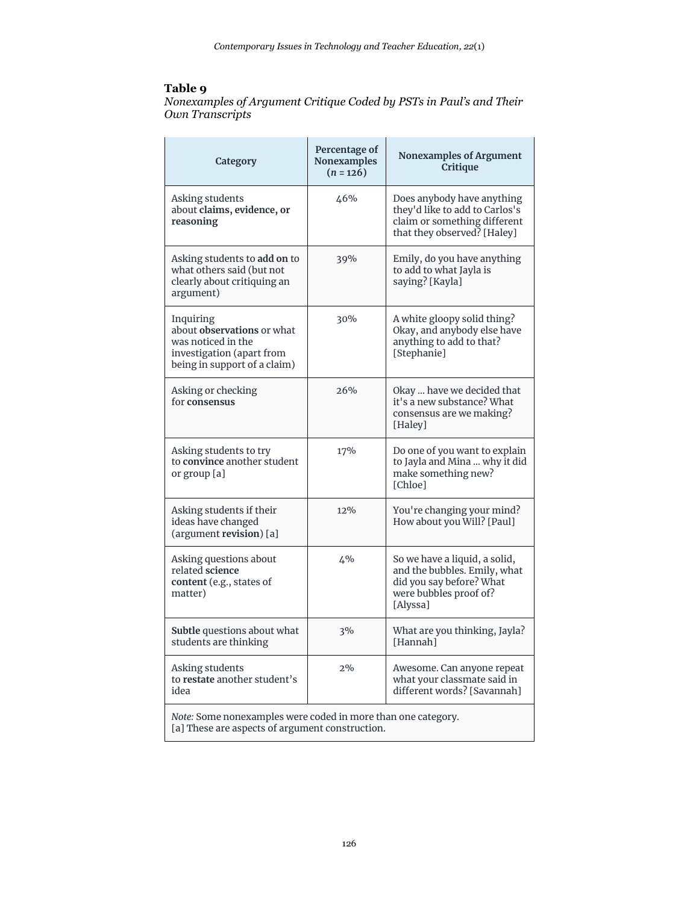## **Table 9**

*Nonexamples of Argument Critique Coded by PSTs in Paul's and Their Own Transcripts*

| Category                                                                                                                   | Percentage of<br><b>Nonexamples</b><br>$(n = 126)$ | <b>Nonexamples of Argument</b><br>Critique                                                                                      |
|----------------------------------------------------------------------------------------------------------------------------|----------------------------------------------------|---------------------------------------------------------------------------------------------------------------------------------|
| Asking students<br>about claims, evidence, or<br>reasoning                                                                 | 46%                                                | Does anybody have anything<br>they'd like to add to Carlos's<br>claim or something different<br>that they observed? [Haley]     |
| Asking students to add on to<br>what others said (but not<br>clearly about critiquing an<br>argument)                      | 39%                                                | Emily, do you have anything<br>to add to what Jayla is<br>saying? [Kayla]                                                       |
| Inquiring<br>about observations or what<br>was noticed in the<br>investigation (apart from<br>being in support of a claim) | 30%                                                | A white gloopy solid thing?<br>Okay, and anybody else have<br>anything to add to that?<br>[Stephanie]                           |
| Asking or checking<br>for consensus                                                                                        | 26%                                                | Okay  have we decided that<br>it's a new substance? What<br>consensus are we making?<br>[Haley]                                 |
| Asking students to try<br>to convince another student<br>or group [a]                                                      | 17%                                                | Do one of you want to explain<br>to Jayla and Mina  why it did<br>make something new?<br>[Chloe]                                |
| Asking students if their<br>ideas have changed<br>(argument revision) [a]                                                  | 12%                                                | You're changing your mind?<br>How about you Will? [Paul]                                                                        |
| Asking questions about<br>related science<br>content (e.g., states of<br>matter)                                           | $4\%$                                              | So we have a liquid, a solid,<br>and the bubbles. Emily, what<br>did you say before? What<br>were bubbles proof of?<br>[Alyssa] |
| Subtle questions about what<br>students are thinking                                                                       | 3%                                                 | What are you thinking, Jayla?<br>[Hannah]                                                                                       |
| Asking students<br>to restate another student's<br>idea                                                                    | 2%                                                 | Awesome. Can anyone repeat<br>what your classmate said in<br>different words? [Savannah]                                        |
| Note: Some nonexamples were coded in more than one category.<br>[a] These are aspects of argument construction.            |                                                    |                                                                                                                                 |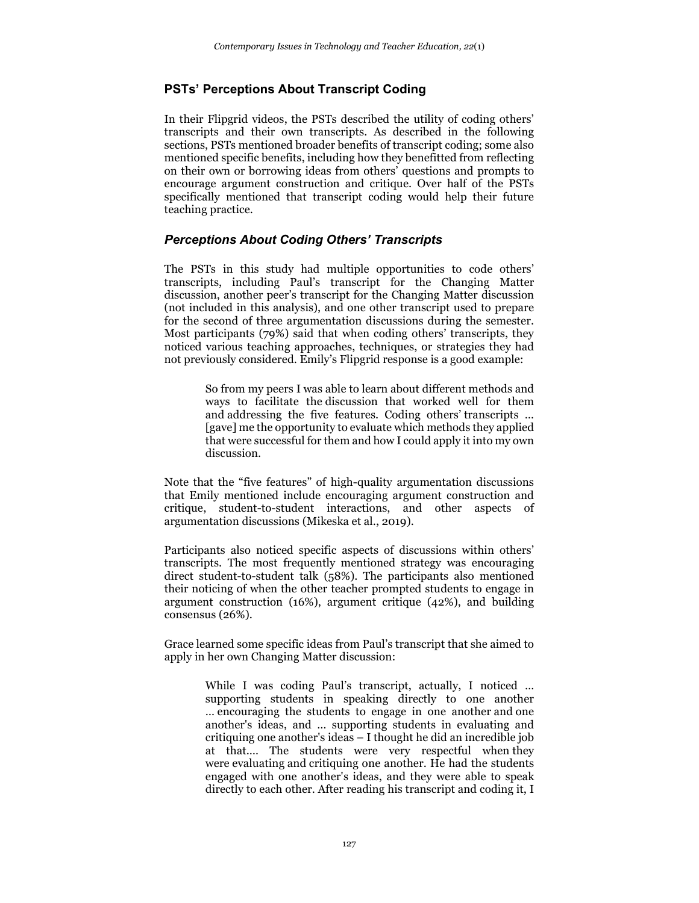### **PSTs' Perceptions About Transcript Coding**

In their Flipgrid videos, the PSTs described the utility of coding others' transcripts and their own transcripts. As described in the following sections, PSTs mentioned broader benefits of transcript coding; some also mentioned specific benefits, including how they benefitted from reflecting on their own or borrowing ideas from others' questions and prompts to encourage argument construction and critique. Over half of the PSTs specifically mentioned that transcript coding would help their future teaching practice.

### *Perceptions About Coding Others' Transcripts*

The PSTs in this study had multiple opportunities to code others' transcripts, including Paul's transcript for the Changing Matter discussion, another peer's transcript for the Changing Matter discussion (not included in this analysis), and one other transcript used to prepare for the second of three argumentation discussions during the semester. Most participants (79%) said that when coding others' transcripts, they noticed various teaching approaches, techniques, or strategies they had not previously considered. Emily's Flipgrid response is a good example:

> So from my peers I was able to learn about different methods and ways to facilitate the discussion that worked well for them and addressing the five features. Coding others' transcripts … [gave] me the opportunity to evaluate which methods they applied that were successful for them and how I could apply it into my own discussion.

Note that the "five features" of high-quality argumentation discussions that Emily mentioned include encouraging argument construction and critique, student-to-student interactions, and other aspects of argumentation discussions (Mikeska et al., 2019).

Participants also noticed specific aspects of discussions within others' transcripts. The most frequently mentioned strategy was encouraging direct student-to-student talk (58%). The participants also mentioned their noticing of when the other teacher prompted students to engage in argument construction (16%), argument critique (42%), and building consensus (26%).

Grace learned some specific ideas from Paul's transcript that she aimed to apply in her own Changing Matter discussion:

> While I was coding Paul's transcript, actually, I noticed … supporting students in speaking directly to one another … encouraging the students to engage in one another and one another's ideas, and … supporting students in evaluating and critiquing one another's ideas – I thought he did an incredible job at that.… The students were very respectful when they were evaluating and critiquing one another. He had the students engaged with one another's ideas, and they were able to speak directly to each other. After reading his transcript and coding it, I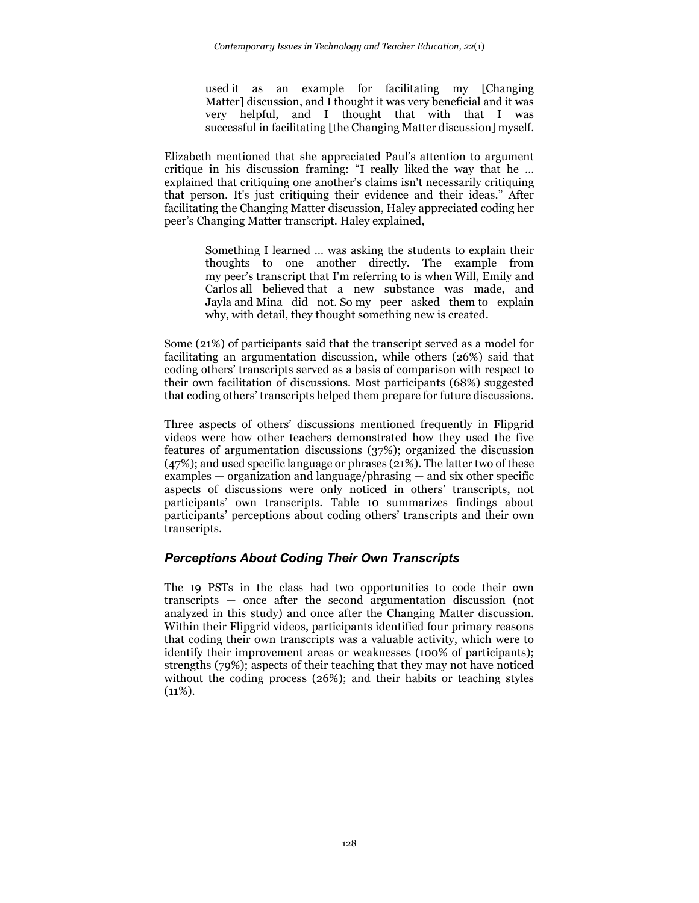used it as an example for facilitating my [Changing Matter] discussion, and I thought it was very beneficial and it was very helpful, and I thought that with that I was successful in facilitating [the Changing Matter discussion] myself.

Elizabeth mentioned that she appreciated Paul's attention to argument critique in his discussion framing: "I really liked the way that he … explained that critiquing one another's claims isn't necessarily critiquing that person. It's just critiquing their evidence and their ideas." After facilitating the Changing Matter discussion, Haley appreciated coding her peer's Changing Matter transcript. Haley explained,

> Something I learned … was asking the students to explain their thoughts to one another directly. The example from my peer's transcript that I'm referring to is when Will, Emily and Carlos all believed that a new substance was made, and Jayla and Mina did not. So my peer asked them to explain why, with detail, they thought something new is created.

Some (21%) of participants said that the transcript served as a model for facilitating an argumentation discussion, while others (26%) said that coding others' transcripts served as a basis of comparison with respect to their own facilitation of discussions. Most participants (68%) suggested that coding others' transcripts helped them prepare for future discussions.

Three aspects of others' discussions mentioned frequently in Flipgrid videos were how other teachers demonstrated how they used the five features of argumentation discussions (37%); organized the discussion (47%); and used specific language or phrases (21%). The latter two of these examples — organization and language/phrasing — and six other specific aspects of discussions were only noticed in others' transcripts, not participants' own transcripts. Table 10 summarizes findings about participants' perceptions about coding others' transcripts and their own transcripts.

## *Perceptions About Coding Their Own Transcripts*

The 19 PSTs in the class had two opportunities to code their own transcripts — once after the second argumentation discussion (not analyzed in this study) and once after the Changing Matter discussion. Within their Flipgrid videos, participants identified four primary reasons that coding their own transcripts was a valuable activity, which were to identify their improvement areas or weaknesses (100% of participants); strengths (79%); aspects of their teaching that they may not have noticed without the coding process (26%); and their habits or teaching styles  $(11\%).$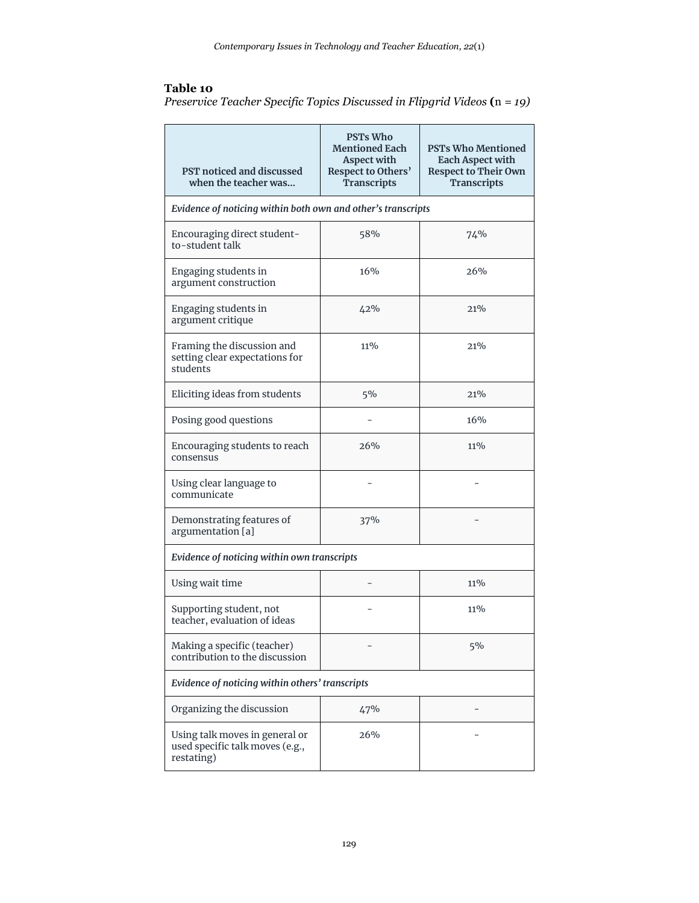### **Table 10**

| 1 avit 19                                                                |  |  |  |
|--------------------------------------------------------------------------|--|--|--|
| Preservice Teacher Specific Topics Discussed in Flipgrid Videos (n = 19) |  |  |  |

| PST noticed and discussed<br>when the teacher was                               | <b>PSTs Who</b><br>Mentioned Each<br><b>Aspect with</b><br>Respect to Others'<br><b>Transcripts</b> | <b>PSTs Who Mentioned</b><br><b>Each Aspect with</b><br><b>Respect to Their Own</b><br><b>Transcripts</b> |  |
|---------------------------------------------------------------------------------|-----------------------------------------------------------------------------------------------------|-----------------------------------------------------------------------------------------------------------|--|
| Evidence of noticing within both own and other's transcripts                    |                                                                                                     |                                                                                                           |  |
| Encouraging direct student-<br>to-student talk                                  | 58%                                                                                                 | 74%                                                                                                       |  |
| Engaging students in<br>argument construction                                   | 16%                                                                                                 | 2.6%                                                                                                      |  |
| Engaging students in<br>argument critique                                       | 42%                                                                                                 | 21%                                                                                                       |  |
| Framing the discussion and<br>setting clear expectations for<br>students        | 11%                                                                                                 | 21%                                                                                                       |  |
| Eliciting ideas from students                                                   | 5%                                                                                                  | 21%                                                                                                       |  |
| Posing good questions                                                           |                                                                                                     | 16%                                                                                                       |  |
| Encouraging students to reach<br>consensus                                      | 26%                                                                                                 | 11%                                                                                                       |  |
| Using clear language to<br>communicate                                          |                                                                                                     |                                                                                                           |  |
| Demonstrating features of<br>argumentation [a]                                  | 37%                                                                                                 |                                                                                                           |  |
| Evidence of noticing within own transcripts                                     |                                                                                                     |                                                                                                           |  |
| Using wait time                                                                 |                                                                                                     | 11%                                                                                                       |  |
| Supporting student, not<br>teacher, evaluation of ideas                         |                                                                                                     | $11\%$                                                                                                    |  |
| Making a specific (teacher)<br>contribution to the discussion                   |                                                                                                     | 5%                                                                                                        |  |
| Evidence of noticing within others' transcripts                                 |                                                                                                     |                                                                                                           |  |
| Organizing the discussion                                                       | 47%                                                                                                 |                                                                                                           |  |
| Using talk moves in general or<br>used specific talk moves (e.g.,<br>restating) | 26%                                                                                                 |                                                                                                           |  |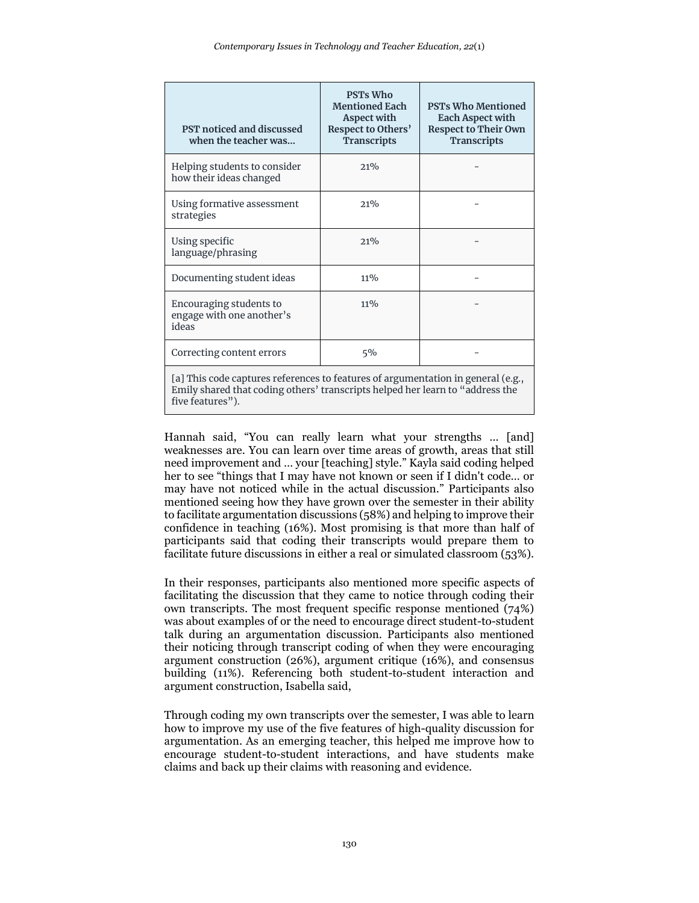| PST noticed and discussed<br>when the teacher was                                | <b>PSTs Who</b><br><b>Mentioned Each</b><br><b>Aspect with</b><br>Respect to Others'<br><b>Transcripts</b> | <b>PSTs Who Mentioned</b><br>Each Aspect with<br><b>Respect to Their Own</b><br><b>Transcripts</b> |
|----------------------------------------------------------------------------------|------------------------------------------------------------------------------------------------------------|----------------------------------------------------------------------------------------------------|
| Helping students to consider<br>how their ideas changed                          | 21%                                                                                                        |                                                                                                    |
| Using formative assessment<br>strategies                                         | $2.1\%$                                                                                                    |                                                                                                    |
| Using specific<br>language/phrasing                                              | $2.1\%$                                                                                                    |                                                                                                    |
| Documenting student ideas                                                        | $11\%$                                                                                                     |                                                                                                    |
| Encouraging students to<br>engage with one another's<br>ideas                    | $11\%$                                                                                                     |                                                                                                    |
| Correcting content errors                                                        | $5\%$                                                                                                      |                                                                                                    |
| [a] This code captures references to features of argumentation in general (e.g., |                                                                                                            |                                                                                                    |

Emily shared that coding others' transcripts helped her learn to "address the five features").

Hannah said, "You can really learn what your strengths … [and] weaknesses are. You can learn over time areas of growth, areas that still need improvement and … your [teaching] style." Kayla said coding helped her to see "things that I may have not known or seen if I didn't code… or may have not noticed while in the actual discussion." Participants also mentioned seeing how they have grown over the semester in their ability to facilitate argumentation discussions (58%) and helping to improve their confidence in teaching (16%). Most promising is that more than half of participants said that coding their transcripts would prepare them to facilitate future discussions in either a real or simulated classroom (53%).

In their responses, participants also mentioned more specific aspects of facilitating the discussion that they came to notice through coding their own transcripts. The most frequent specific response mentioned (74%) was about examples of or the need to encourage direct student-to-student talk during an argumentation discussion. Participants also mentioned their noticing through transcript coding of when they were encouraging argument construction (26%), argument critique (16%), and consensus building (11%). Referencing both student-to-student interaction and argument construction, Isabella said,

Through coding my own transcripts over the semester, I was able to learn how to improve my use of the five features of high-quality discussion for argumentation. As an emerging teacher, this helped me improve how to encourage student-to-student interactions, and have students make claims and back up their claims with reasoning and evidence.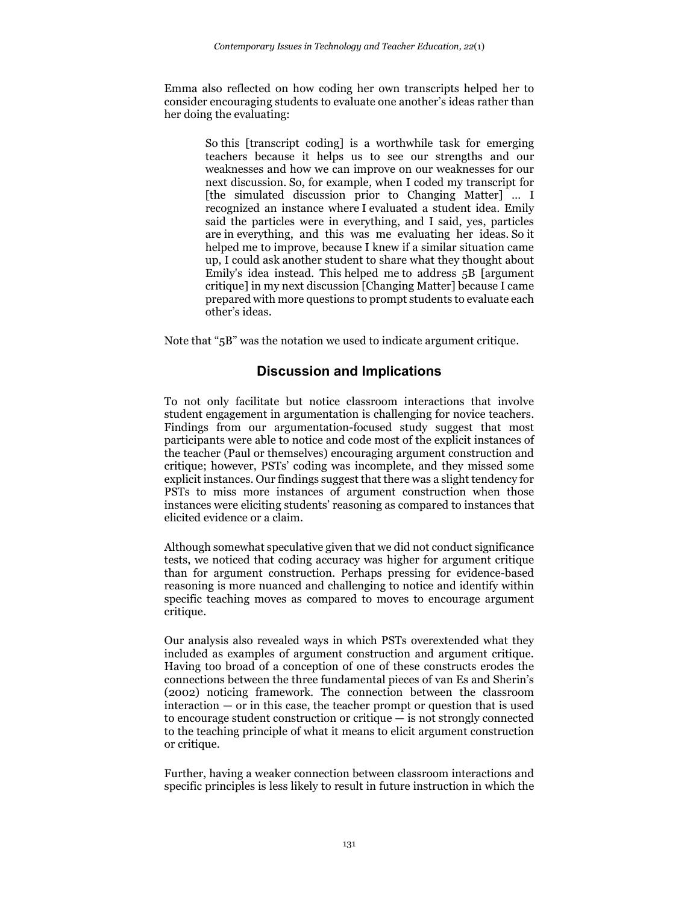Emma also reflected on how coding her own transcripts helped her to consider encouraging students to evaluate one another's ideas rather than her doing the evaluating:

> So this [transcript coding] is a worthwhile task for emerging teachers because it helps us to see our strengths and our weaknesses and how we can improve on our weaknesses for our next discussion. So, for example, when I coded my transcript for [the simulated discussion prior to Changing Matter] … I recognized an instance where I evaluated a student idea. Emily said the particles were in everything, and I said, yes, particles are in everything, and this was me evaluating her ideas. So it helped me to improve, because I knew if a similar situation came up, I could ask another student to share what they thought about Emily's idea instead. This helped me to address 5B [argument critique] in my next discussion [Changing Matter] because I came prepared with more questions to prompt students to evaluate each other's ideas.

Note that "5B" was the notation we used to indicate argument critique.

## **Discussion and Implications**

To not only facilitate but notice classroom interactions that involve student engagement in argumentation is challenging for novice teachers. Findings from our argumentation-focused study suggest that most participants were able to notice and code most of the explicit instances of the teacher (Paul or themselves) encouraging argument construction and critique; however, PSTs' coding was incomplete, and they missed some explicit instances. Our findings suggest that there was a slight tendency for PSTs to miss more instances of argument construction when those instances were eliciting students' reasoning as compared to instances that elicited evidence or a claim.

Although somewhat speculative given that we did not conduct significance tests, we noticed that coding accuracy was higher for argument critique than for argument construction. Perhaps pressing for evidence-based reasoning is more nuanced and challenging to notice and identify within specific teaching moves as compared to moves to encourage argument critique.

Our analysis also revealed ways in which PSTs overextended what they included as examples of argument construction and argument critique. Having too broad of a conception of one of these constructs erodes the connections between the three fundamental pieces of van Es and Sherin's (2002) noticing framework. The connection between the classroom  $interaction - or in this case, the teacher prompt or question that is used$ to encourage student construction or critique — is not strongly connected to the teaching principle of what it means to elicit argument construction or critique.

Further, having a weaker connection between classroom interactions and specific principles is less likely to result in future instruction in which the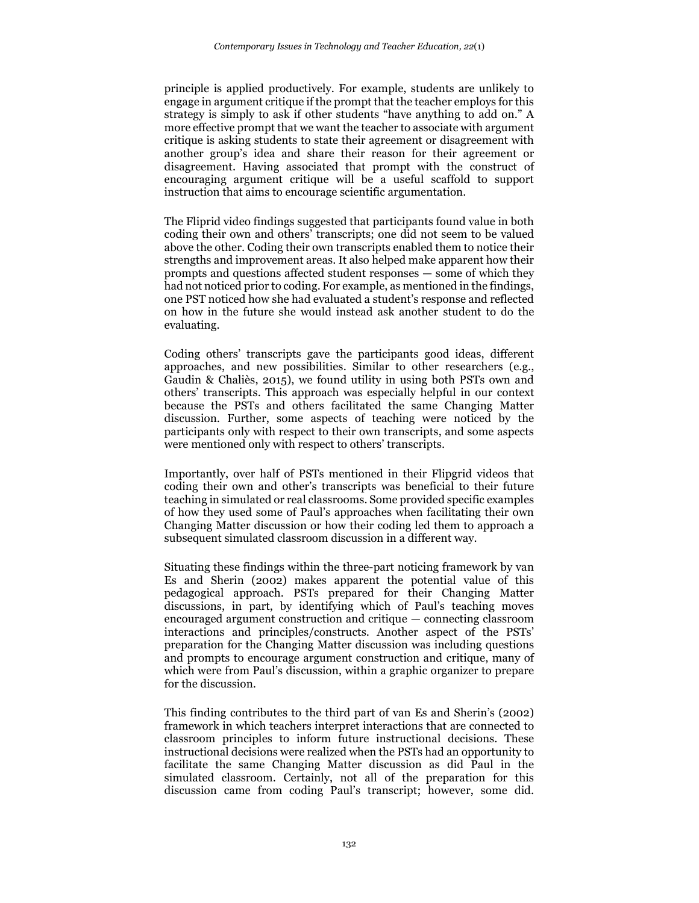principle is applied productively. For example, students are unlikely to engage in argument critique if the prompt that the teacher employs for this strategy is simply to ask if other students "have anything to add on." A more effective prompt that we want the teacher to associate with argument critique is asking students to state their agreement or disagreement with another group's idea and share their reason for their agreement or disagreement. Having associated that prompt with the construct of encouraging argument critique will be a useful scaffold to support instruction that aims to encourage scientific argumentation.

The Fliprid video findings suggested that participants found value in both coding their own and others' transcripts; one did not seem to be valued above the other. Coding their own transcripts enabled them to notice their strengths and improvement areas. It also helped make apparent how their prompts and questions affected student responses — some of which they had not noticed prior to coding. For example, as mentioned in the findings, one PST noticed how she had evaluated a student's response and reflected on how in the future she would instead ask another student to do the evaluating.

Coding others' transcripts gave the participants good ideas, different approaches, and new possibilities. Similar to other researchers (e.g., Gaudin & Chaliès, 2015), we found utility in using both PSTs own and others' transcripts. This approach was especially helpful in our context because the PSTs and others facilitated the same Changing Matter discussion. Further, some aspects of teaching were noticed by the participants only with respect to their own transcripts, and some aspects were mentioned only with respect to others' transcripts.

Importantly, over half of PSTs mentioned in their Flipgrid videos that coding their own and other's transcripts was beneficial to their future teaching in simulated or real classrooms. Some provided specific examples of how they used some of Paul's approaches when facilitating their own Changing Matter discussion or how their coding led them to approach a subsequent simulated classroom discussion in a different way.

Situating these findings within the three-part noticing framework by van Es and Sherin (2002) makes apparent the potential value of this pedagogical approach. PSTs prepared for their Changing Matter discussions, in part, by identifying which of Paul's teaching moves encouraged argument construction and critique — connecting classroom interactions and principles/constructs. Another aspect of the PSTs' preparation for the Changing Matter discussion was including questions and prompts to encourage argument construction and critique, many of which were from Paul's discussion, within a graphic organizer to prepare for the discussion.

This finding contributes to the third part of van Es and Sherin's (2002) framework in which teachers interpret interactions that are connected to classroom principles to inform future instructional decisions. These instructional decisions were realized when the PSTs had an opportunity to facilitate the same Changing Matter discussion as did Paul in the simulated classroom. Certainly, not all of the preparation for this discussion came from coding Paul's transcript; however, some did.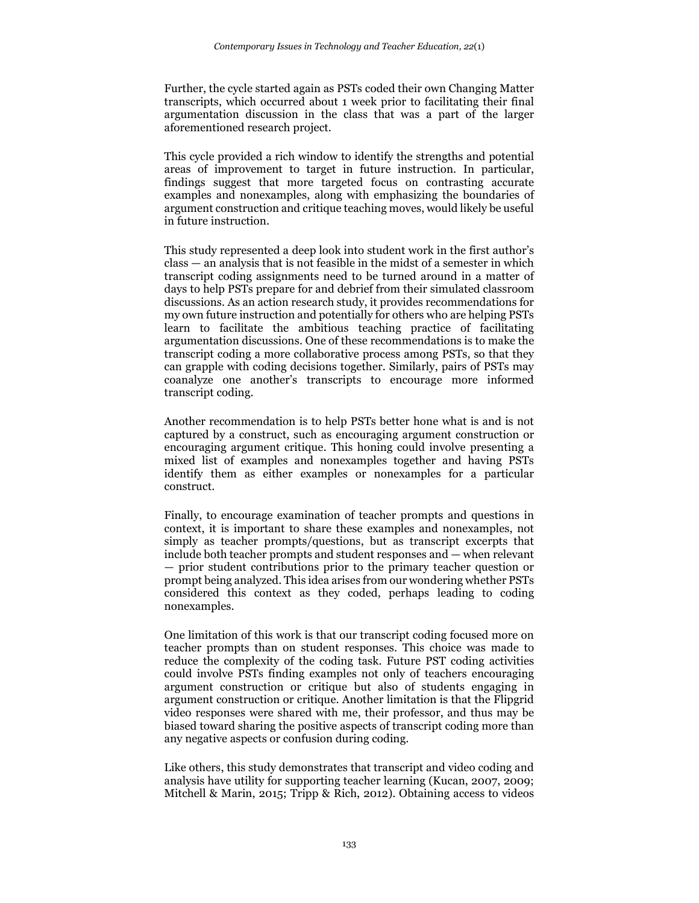Further, the cycle started again as PSTs coded their own Changing Matter transcripts, which occurred about 1 week prior to facilitating their final argumentation discussion in the class that was a part of the larger aforementioned research project.

This cycle provided a rich window to identify the strengths and potential areas of improvement to target in future instruction. In particular, findings suggest that more targeted focus on contrasting accurate examples and nonexamples, along with emphasizing the boundaries of argument construction and critique teaching moves, would likely be useful in future instruction.

This study represented a deep look into student work in the first author's class — an analysis that is not feasible in the midst of a semester in which transcript coding assignments need to be turned around in a matter of days to help PSTs prepare for and debrief from their simulated classroom discussions. As an action research study, it provides recommendations for my own future instruction and potentially for others who are helping PSTs learn to facilitate the ambitious teaching practice of facilitating argumentation discussions. One of these recommendations is to make the transcript coding a more collaborative process among PSTs, so that they can grapple with coding decisions together. Similarly, pairs of PSTs may coanalyze one another's transcripts to encourage more informed transcript coding.

Another recommendation is to help PSTs better hone what is and is not captured by a construct, such as encouraging argument construction or encouraging argument critique. This honing could involve presenting a mixed list of examples and nonexamples together and having PSTs identify them as either examples or nonexamples for a particular construct.

Finally, to encourage examination of teacher prompts and questions in context, it is important to share these examples and nonexamples, not simply as teacher prompts/questions, but as transcript excerpts that include both teacher prompts and student responses and — when relevant — prior student contributions prior to the primary teacher question or prompt being analyzed. This idea arises from our wondering whether PSTs considered this context as they coded, perhaps leading to coding nonexamples.

One limitation of this work is that our transcript coding focused more on teacher prompts than on student responses. This choice was made to reduce the complexity of the coding task. Future PST coding activities could involve PSTs finding examples not only of teachers encouraging argument construction or critique but also of students engaging in argument construction or critique. Another limitation is that the Flipgrid video responses were shared with me, their professor, and thus may be biased toward sharing the positive aspects of transcript coding more than any negative aspects or confusion during coding.

Like others, this study demonstrates that transcript and video coding and analysis have utility for supporting teacher learning (Kucan, 2007, 2009; Mitchell & Marin, 2015; Tripp & Rich, 2012). Obtaining access to videos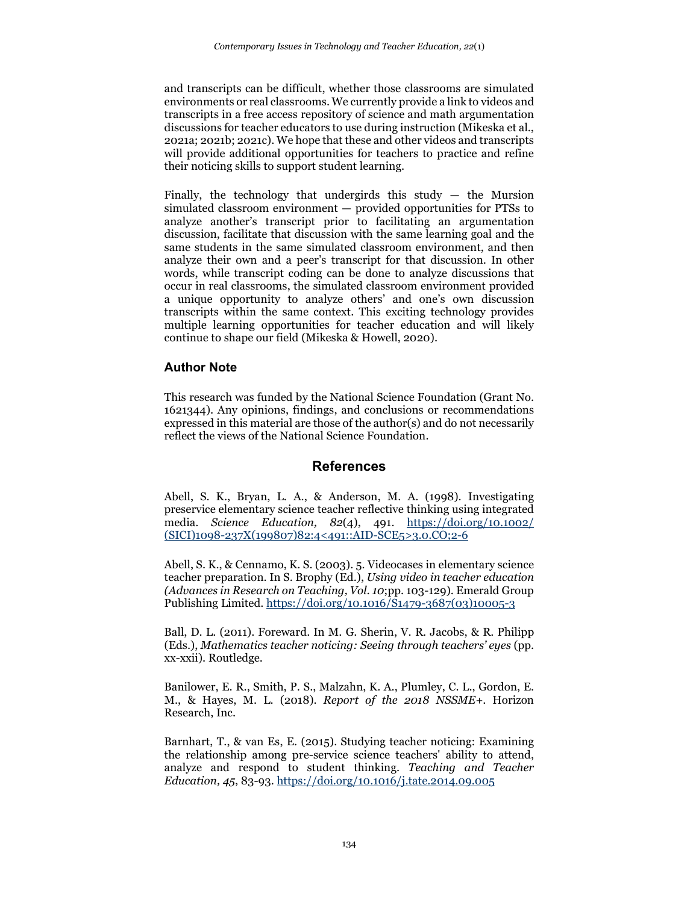and transcripts can be difficult, whether those classrooms are simulated environments or real classrooms. We currently provide a link to videos and transcripts in a free access repository of science and math argumentation discussions for teacher educators to use during instruction (Mikeska et al., 2021a; 2021b; 2021c). We hope that these and other videos and transcripts will provide additional opportunities for teachers to practice and refine their noticing skills to support student learning.

Finally, the technology that undergirds this study  $-$  the Mursion simulated classroom environment — provided opportunities for PTSs to analyze another's transcript prior to facilitating an argumentation discussion, facilitate that discussion with the same learning goal and the same students in the same simulated classroom environment, and then analyze their own and a peer's transcript for that discussion. In other words, while transcript coding can be done to analyze discussions that occur in real classrooms, the simulated classroom environment provided a unique opportunity to analyze others' and one's own discussion transcripts within the same context. This exciting technology provides multiple learning opportunities for teacher education and will likely continue to shape our field (Mikeska & Howell, 2020).

### **Author Note**

This research was funded by the National Science Foundation (Grant No. 1621344). Any opinions, findings, and conclusions or recommendations expressed in this material are those of the author(s) and do not necessarily reflect the views of the National Science Foundation.

### **References**

Abell, S. K., Bryan, L. A., & Anderson, M. A. (1998). Investigating preservice elementary science teacher reflective thinking using integrated media. *Science Education, 82*(4), 491. [https://doi.org/10.1002/](https://doi.org/10.1002/%20(SICI)1098-237X(199807)82:4%3c491::AID-SCE5%3e3.0.CO;2-6)  [\(SICI\)1098-237X\(199807\)82:4<491::AID-SCE5>3.0.CO;2-6](https://doi.org/10.1002/%20(SICI)1098-237X(199807)82:4%3c491::AID-SCE5%3e3.0.CO;2-6)

Abell, S. K., & Cennamo, K. S. (2003). 5. Videocases in elementary science teacher preparation. In S. Brophy (Ed.), *Using video in teacher education (Advances in Research on Teaching, Vol. 10*;pp. 103-129). Emerald Group Publishing Limited[. https://doi.org/10.1016/S1479-3687\(03\)10005-3](https://doi.org/10.1016/S1479-3687(03)10005-3)

Ball, D. L. (2011). Foreward. In M. G. Sherin, V. R. Jacobs, & R. Philipp (Eds.), *Mathematics teacher noticing: Seeing through teachers' eyes* (pp. xx-xxii). Routledge.

Banilower, E. R., Smith, P. S., Malzahn, K. A., Plumley, C. L., Gordon, E. M., & Hayes, M. L. (2018). *Report of the 2018 NSSME+*. Horizon Research, Inc.

Barnhart, T., & van Es, E. (2015). Studying teacher noticing: Examining the relationship among pre-service science teachers' ability to attend, analyze and respond to student thinking. *Teaching and Teacher Education, 45*, 83-93[. https://doi.org/10.1016/j.tate.2014.09.005](https://doi.org/10.1016/j.tate.2014.09.005)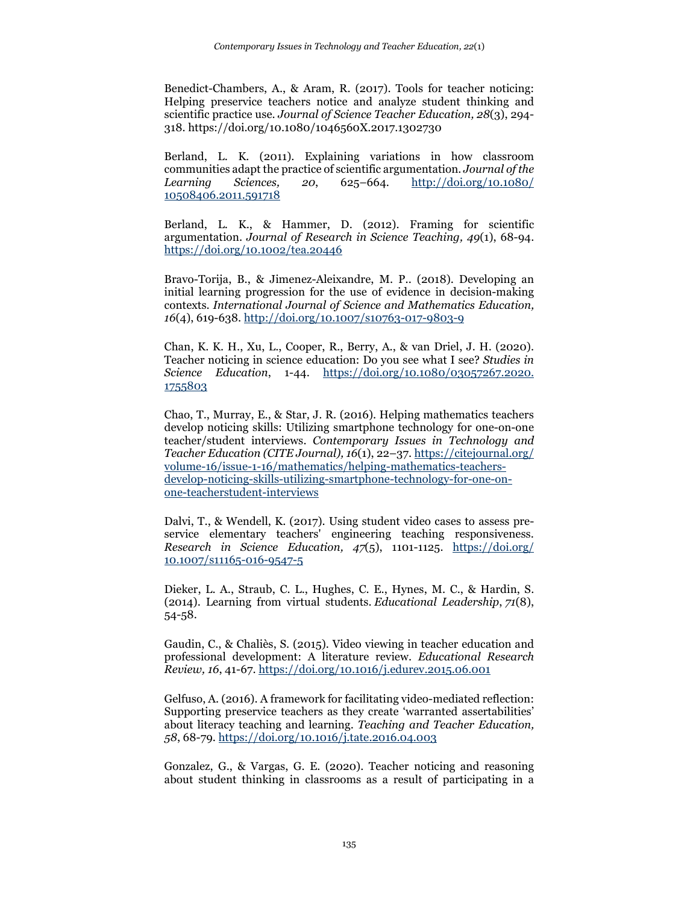Benedict-Chambers, A., & Aram, R. (2017). Tools for teacher noticing: Helping preservice teachers notice and analyze student thinking and scientific practice use. *Journal of Science Teacher Education, 28*(3), 294- 318. https://doi.org/10.1080/1046560X.2017.1302730

Berland, L. K. (2011). Explaining variations in how classroom communities adapt the practice of scientific argumentation. *Journal of the Learning Sciences, 20*, 625–664. [http://doi.org/10.1080/](http://doi.org/10.1080/%2010508406.2011.591718)  [10508406.2011.591718](http://doi.org/10.1080/%2010508406.2011.591718)

Berland, L. K., & Hammer, D. (2012). Framing for scientific argumentation. *Journal of Research in Science Teaching, 49*(1), 68-94. <https://doi.org/10.1002/tea.20446>

Bravo-Torija, B., & Jimenez-Aleixandre, M. P.. (2018). Developing an initial learning progression for the use of evidence in decision-making contexts. *International Journal of Science and Mathematics Education, 16*(4), 619-638.<http://doi.org/10.1007/s10763-017-9803-9>

Chan, K. K. H., Xu, L., Cooper, R., Berry, A., & van Driel, J. H. (2020). Teacher noticing in science education: Do you see what I see? *Studies in Science Education*, 1-44. [https://doi.org/10.1080/03057267.2020.](https://doi.org/10.1080/03057267.2020.%201755803)  [1755803](https://doi.org/10.1080/03057267.2020.%201755803)

Chao, T., Murray, E., & Star, J. R. (2016). Helping mathematics teachers develop noticing skills: Utilizing smartphone technology for one-on-one teacher/student interviews. *Contemporary Issues in Technology and Teacher Education (CITE Journal), 16*(1), 22–37. [https://citejournal.org/](https://citejournal.org/%20volume-16/issue-1-16/mathematics/helping-mathematics-teachers-develop-noticing-skills-utilizing-smartphone-technology-for-one-on-one-teacherstudent-interviews)  [volume-16/issue-1-16/mathematics/helping-mathematics-teachers](https://citejournal.org/%20volume-16/issue-1-16/mathematics/helping-mathematics-teachers-develop-noticing-skills-utilizing-smartphone-technology-for-one-on-one-teacherstudent-interviews)[develop-noticing-skills-utilizing-smartphone-technology-for-one-on](https://citejournal.org/%20volume-16/issue-1-16/mathematics/helping-mathematics-teachers-develop-noticing-skills-utilizing-smartphone-technology-for-one-on-one-teacherstudent-interviews)[one-teacherstudent-interviews](https://citejournal.org/%20volume-16/issue-1-16/mathematics/helping-mathematics-teachers-develop-noticing-skills-utilizing-smartphone-technology-for-one-on-one-teacherstudent-interviews)

Dalvi, T., & Wendell, K. (2017). Using student video cases to assess preservice elementary teachers' engineering teaching responsiveness. *Research in Science Education, 47*(5), 1101-1125. [https://doi.org/](https://doi.org/%2010.1007/s11165-016-9547-5)  [10.1007/s11165-016-9547-5](https://doi.org/%2010.1007/s11165-016-9547-5)

Dieker, L. A., Straub, C. L., Hughes, C. E., Hynes, M. C., & Hardin, S. (2014). Learning from virtual students. *Educational Leadership*, *71*(8), 54-58.

Gaudin, C., & Chaliès, S. (2015). Video viewing in teacher education and professional development: A literature review. *Educational Research Review, 16*, 41-67[. https://doi.org/10.1016/j.edurev.2015.06.001](https://doi.org/10.1016/j.edurev.2015.06.001)

Gelfuso, A. (2016). A framework for facilitating video-mediated reflection: Supporting preservice teachers as they create 'warranted assertabilities' about literacy teaching and learning. *Teaching and Teacher Education, 58*, 68-79[. https://doi.org/10.1016/j.tate.2016.04.003](https://doi.org/10.1016/j.tate.2016.04.003)

Gonzalez, G., & Vargas, G. E. (2020). Teacher noticing and reasoning about student thinking in classrooms as a result of participating in a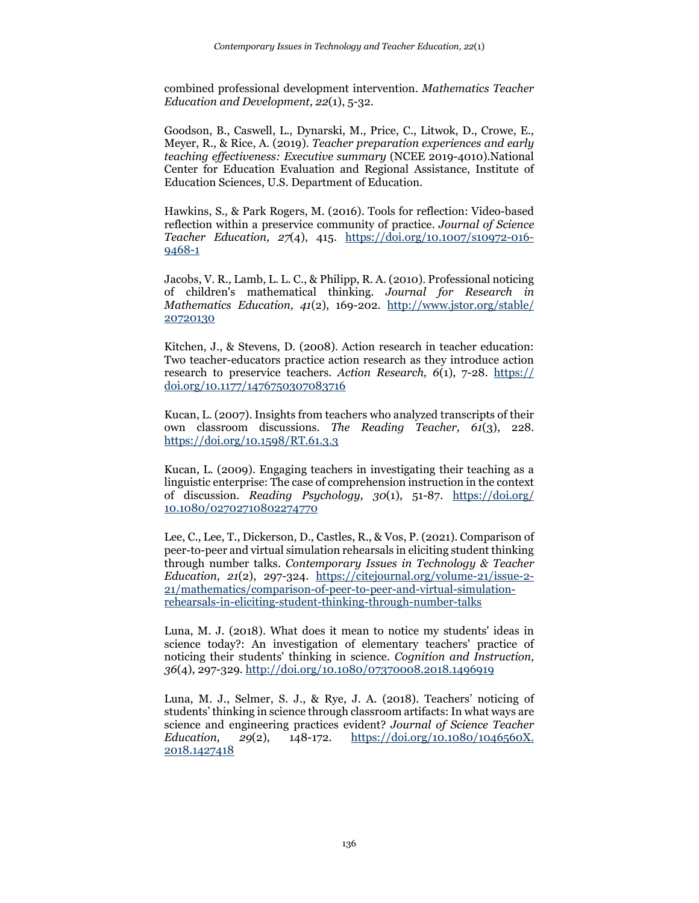combined professional development intervention. *Mathematics Teacher Education and Development, 22*(1), 5-32.

Goodson, B., Caswell, L., Dynarski, M., Price, C., Litwok, D., Crowe, E., Meyer, R., & Rice, A. (2019). *Teacher preparation experiences and early teaching effectiveness: Executive summary* (NCEE 2019-4010).National Center for Education Evaluation and Regional Assistance, Institute of Education Sciences, U.S. Department of Education.

Hawkins, S., & Park Rogers, M. (2016). Tools for reflection: Video-based reflection within a preservice community of practice. *Journal of Science Teacher Education, 27*(4), 415. [https://doi.org/10.1007/s10972-016-](https://doi.org/10.1007/s10972-016-9468-1) [9468-1](https://doi.org/10.1007/s10972-016-9468-1)

Jacobs, V. R., Lamb, L. L. C., & Philipp, R. A. (2010). Professional noticing of children's mathematical thinking. *Journal for Research in Mathematics Education, 41*(2), 169-202. [http://www.jstor.org/stable/](http://www.jstor.org/stable/%2020720130)  [20720130](http://www.jstor.org/stable/%2020720130)

Kitchen, J., & Stevens, D. (2008). Action research in teacher education: Two teacher-educators practice action research as they introduce action research to preservice teachers. *Action Research, 6*(1), 7-28. https:// doi.org/10.1177/1476750307083716

Kucan, L. (2007). Insights from teachers who analyzed transcripts of their own classroom discussions. *The Reading Teacher, 61*(3), 228. <https://doi.org/10.1598/RT.61.3.3>

Kucan, L. (2009). Engaging teachers in investigating their teaching as a linguistic enterprise: The case of comprehension instruction in the context of discussion. *Reading Psychology, 30*(1), 51-87. [https://doi.org/](https://doi.org/%2010.1080/02702710802274770)  [10.1080/02702710802274770](https://doi.org/%2010.1080/02702710802274770)

Lee, C., Lee, T., Dickerson, D., Castles, R., & Vos, P. (2021). Comparison of peer-to-peer and virtual simulation rehearsals in eliciting student thinking through number talks. *Contemporary Issues in Technology & Teacher Education, 21*(2), 297-324. [https://citejournal.org/volume-21/issue-2-](https://citejournal.org/volume-21/issue-2-21/mathematics/comparison-of-peer-to-peer-and-virtual-simulation-rehearsals-in-eliciting-student-thinking-through-number-talks) [21/mathematics/comparison-of-peer-to-peer-and-virtual-simulation](https://citejournal.org/volume-21/issue-2-21/mathematics/comparison-of-peer-to-peer-and-virtual-simulation-rehearsals-in-eliciting-student-thinking-through-number-talks)[rehearsals-in-eliciting-student-thinking-through-number-talks](https://citejournal.org/volume-21/issue-2-21/mathematics/comparison-of-peer-to-peer-and-virtual-simulation-rehearsals-in-eliciting-student-thinking-through-number-talks)

Luna, M. J. (2018). What does it mean to notice my students' ideas in science today?: An investigation of elementary teachers' practice of noticing their students' thinking in science. *Cognition and Instruction, 36*(4), 297-329.<http://doi.org/10.1080/07370008.2018.1496919>

Luna, M. J., Selmer, S. J., & Rye, J. A. (2018). Teachers' noticing of students' thinking in science through classroom artifacts: In what ways are science and engineering practices evident? *Journal of Science Teacher Education, 29*(2), 148-172. [https://doi.org/10.1080/1046560X.](https://doi.org/10.1080/1046560X.%202018.1427418)  [2018.1427418](https://doi.org/10.1080/1046560X.%202018.1427418)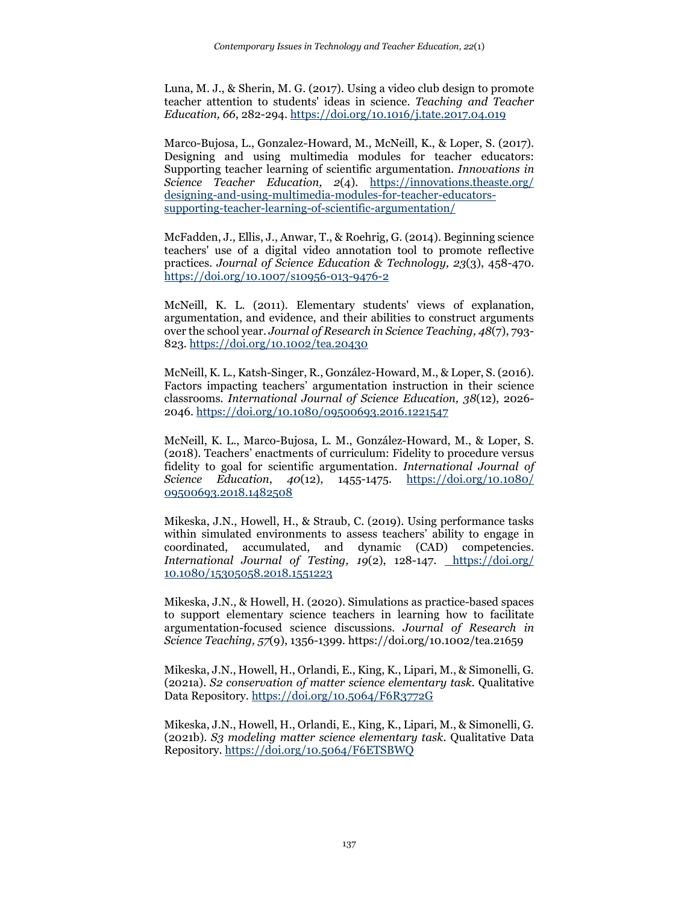Luna, M. J., & Sherin, M. G. (2017). Using a video club design to promote teacher attention to students' ideas in science. *Teaching and Teacher Education, 66*, 282-294.<https://doi.org/10.1016/j.tate.2017.04.019>

Marco-Bujosa, L., Gonzalez-Howard, M., McNeill, K., & Loper, S. (2017). Designing and using multimedia modules for teacher educators: Supporting teacher learning of scientific argumentation. *Innovations in Science Teacher Education, 2*(4). [https://innovations.theaste.org/](https://innovations.theaste.org/%20designing-and-using-multimedia-modules-for-teacher-educators-supporting-teacher-learning-of-scientific-argumentation/)  [designing-and-using-multimedia-modules-for-teacher-educators](https://innovations.theaste.org/%20designing-and-using-multimedia-modules-for-teacher-educators-supporting-teacher-learning-of-scientific-argumentation/)[supporting-teacher-learning-of-scientific-argumentation/](https://innovations.theaste.org/%20designing-and-using-multimedia-modules-for-teacher-educators-supporting-teacher-learning-of-scientific-argumentation/)

McFadden, J., Ellis, J., Anwar, T., & Roehrig, G. (2014). Beginning science teachers' use of a digital video annotation tool to promote reflective practices. *Journal of Science Education & Technology, 23*(3), 458-470. <https://doi.org/10.1007/s10956-013-9476-2>

McNeill, K. L. (2011). Elementary students' views of explanation, argumentation, and evidence, and their abilities to construct arguments over the school year. *Journal of Research in Science Teaching, 48*(7), 793- 823.<https://doi.org/10.1002/tea.20430>

McNeill, K. L., Katsh-Singer, R., González-Howard, M., & Loper, S. (2016). Factors impacting teachers' argumentation instruction in their science classrooms. *International Journal of Science Education, 38*(12), 2026- 2046.<https://doi.org/10.1080/09500693.2016.1221547>

McNeill, K. L., Marco-Bujosa, L. M., González-Howard, M., & Loper, S. (2018). Teachers' enactments of curriculum: Fidelity to procedure versus fidelity to goal for scientific argumentation. *International Journal of Science Education*, *40*(12), 1455-1475. [https://doi.org/10.1080/](https://doi.org/10.1080/%2009500693.2018.1482508)  [09500693.2018.1482508](https://doi.org/10.1080/%2009500693.2018.1482508)

Mikeska, J.N., Howell, H., & Straub, C. (2019). Using performance tasks within simulated environments to assess teachers' ability to engage in coordinated, accumulated, and dynamic (CAD) competencies. *International Journal of Testing, 19*(2), 128-147*.* [https://doi.org/](https://doi.org/%2010.1080/15305058.2018.1551223)  [10.1080/15305058.2018.1551223](https://doi.org/%2010.1080/15305058.2018.1551223)

Mikeska, J.N., & Howell, H. (2020). Simulations as practice-based spaces to support elementary science teachers in learning how to facilitate argumentation-focused science discussions. *Journal of Research in Science Teaching, 57*(9), 1356-1399*.* https://doi.org/10.1002/tea.21659

Mikeska, J.N., Howell, H., Orlandi, E., King, K., Lipari, M., & Simonelli, G. (2021a). *S2 conservation of matter science elementary task.* Qualitative Data Repository[. https://doi.org/10.5064/F6R3772G](https://doi.org/10.5064/F6R3772G)

Mikeska, J.N., Howell, H., Orlandi, E., King, K., Lipari, M., & Simonelli, G. (2021b). *S3 modeling matter science elementary task.* Qualitative Data Repository.<https://doi.org/10.5064/F6ETSBWQ>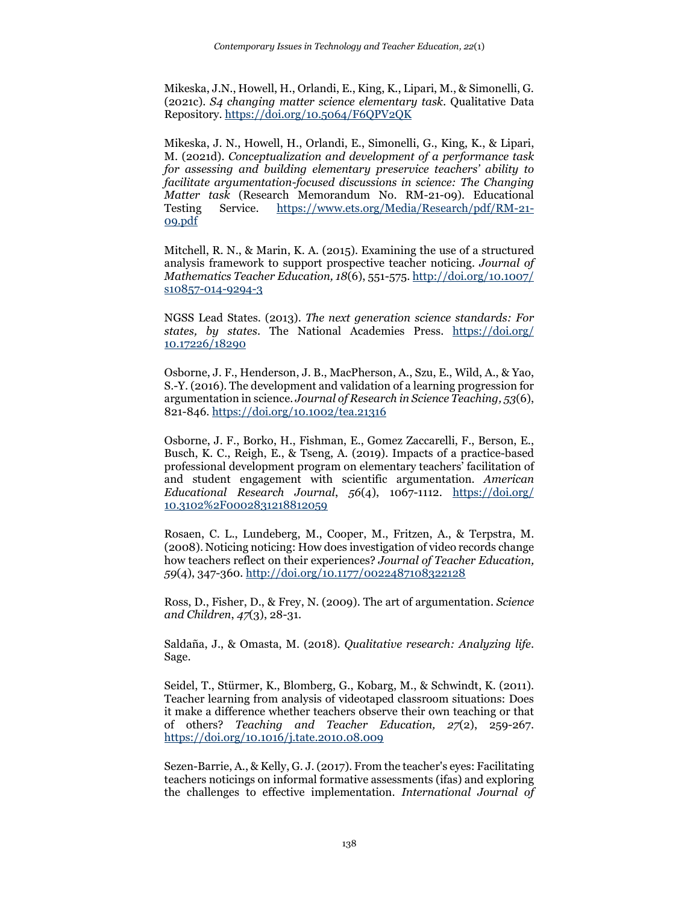Mikeska, J.N., Howell, H., Orlandi, E., King, K., Lipari, M., & Simonelli, G. (2021c). *S4 changing matter science elementary task.* Qualitative Data Repository.<https://doi.org/10.5064/F6QPV2QK>

Mikeska, J. N., Howell, H., Orlandi, E., Simonelli, G., King, K., & Lipari, M. (2021d). *Conceptualization and development of a performance task for assessing and building elementary preservice teachers' ability to facilitate argumentation-focused discussions in science: The Changing Matter task* (Research Memorandum No. RM-21-09). Educational Testing Service. [https://www.ets.org/Media/Research/pdf/RM-21-](https://www.ets.org/Media/Research/pdf/RM-21-09.pdf) [09.pdf](https://www.ets.org/Media/Research/pdf/RM-21-09.pdf)

Mitchell, R. N., & Marin, K. A. (2015). Examining the use of a structured analysis framework to support prospective teacher noticing. *Journal of Mathematics Teacher Education, 18*(6), 551-575[. http://doi.org/10.1007/](http://doi.org/10.1007/%20s10857-014-9294-3)  [s10857-014-9294-3](http://doi.org/10.1007/%20s10857-014-9294-3)

NGSS Lead States. (2013). *The next generation science standards: For states, by states*. The National Academies Press. [https://doi.org/](https://doi.org/%2010.17226/18290)  [10.17226/18290](https://doi.org/%2010.17226/18290)

Osborne, J. F., Henderson, J. B., MacPherson, A., Szu, E., Wild, A., & Yao, S.-Y. (2016). The development and validation of a learning progression for argumentation in science. *Journal of Research in Science Teaching, 53*(6), 821-846.<https://doi.org/10.1002/tea.21316>

Osborne, J. F., Borko, H., Fishman, E., Gomez Zaccarelli, F., Berson, E., Busch, K. C., Reigh, E., & Tseng, A. (2019). Impacts of a practice-based professional development program on elementary teachers' facilitation of and student engagement with scientific argumentation. *American Educational Research Journal*, *56*(4), 1067-1112. [https://doi.org/](https://doi.org/%2010.3102%2F0002831218812059)  [10.3102%2F0002831218812059](https://doi.org/%2010.3102%2F0002831218812059)

Rosaen, C. L., Lundeberg, M., Cooper, M., Fritzen, A., & Terpstra, M. (2008). Noticing noticing: How does investigation of video records change how teachers reflect on their experiences? *Journal of Teacher Education, 59*(4), 347-360[. http://doi.org/10.1177/0022487108322128](http://doi.org/10.1177/0022487108322128)

Ross, D., Fisher, D., & Frey, N. (2009). The art of argumentation. *Science and Children*, *47*(3), 28-31.

Saldaña, J., & Omasta, M. (2018). *Qualitative research: Analyzing life*. Sage.

Seidel, T., Stürmer, K., Blomberg, G., Kobarg, M., & Schwindt, K. (2011). Teacher learning from analysis of videotaped classroom situations: Does it make a difference whether teachers observe their own teaching or that of others? *Teaching and Teacher Education, 27*(2), 259-267. <https://doi.org/10.1016/j.tate.2010.08.009>

Sezen-Barrie, A., & Kelly, G. J. (2017). From the teacher's eyes: Facilitating teachers noticings on informal formative assessments (ifas) and exploring the challenges to effective implementation. *International Journal of*